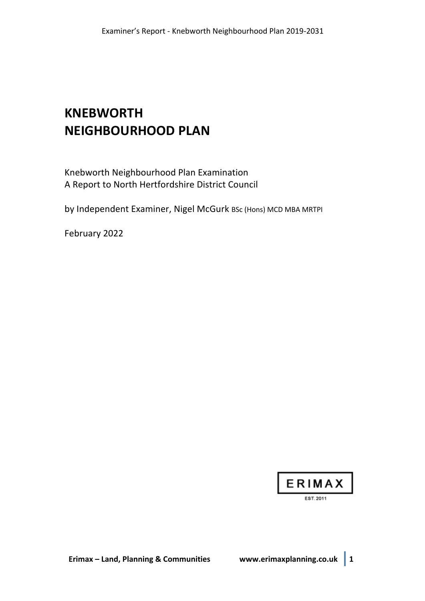# **KNEBWORTH NEIGHBOURHOOD PLAN**

Knebworth Neighbourhood Plan Examination A Report to North Hertfordshire District Council

by Independent Examiner, Nigel McGurk BSc (Hons) MCD MBA MRTPI

February 2022

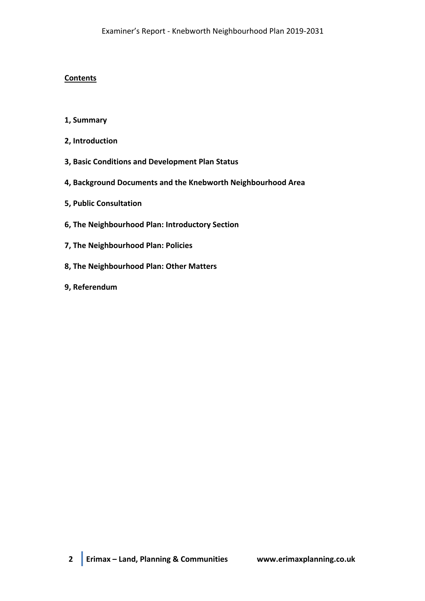# **Contents**

## **1, Summary**

- **2, Introduction**
- **3, Basic Conditions and Development Plan Status**
- **4, Background Documents and the Knebworth Neighbourhood Area**
- **5, Public Consultation**
- **6, The Neighbourhood Plan: Introductory Section**
- **7, The Neighbourhood Plan: Policies**
- **8, The Neighbourhood Plan: Other Matters**
- **9, Referendum**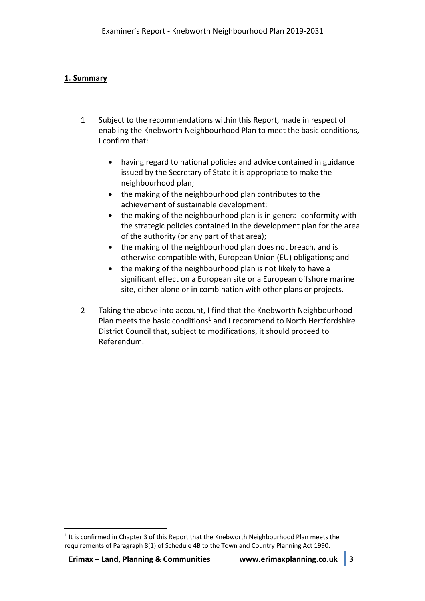# **1. Summary**

- 1 Subject to the recommendations within this Report, made in respect of enabling the Knebworth Neighbourhood Plan to meet the basic conditions, I confirm that:
	- having regard to national policies and advice contained in guidance issued by the Secretary of State it is appropriate to make the neighbourhood plan;
	- the making of the neighbourhood plan contributes to the achievement of sustainable development;
	- the making of the neighbourhood plan is in general conformity with the strategic policies contained in the development plan for the area of the authority (or any part of that area);
	- the making of the neighbourhood plan does not breach, and is otherwise compatible with, European Union (EU) obligations; and
	- the making of the neighbourhood plan is not likely to have a significant effect on a European site or a European offshore marine site, either alone or in combination with other plans or projects.
- 2 Taking the above into account, I find that the Knebworth Neighbourhood Plan meets the basic conditions<sup>1</sup> and I recommend to North Hertfordshire District Council that, subject to modifications, it should proceed to Referendum.

 $1$  It is confirmed in Chapter 3 of this Report that the Knebworth Neighbourhood Plan meets the requirements of Paragraph 8(1) of Schedule 4B to the Town and Country Planning Act 1990.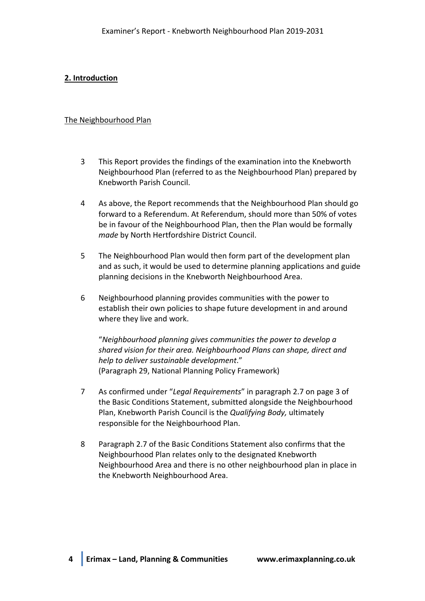# **2. Introduction**

# The Neighbourhood Plan

- 3 This Report provides the findings of the examination into the Knebworth Neighbourhood Plan (referred to as the Neighbourhood Plan) prepared by Knebworth Parish Council.
- 4 As above, the Report recommends that the Neighbourhood Plan should go forward to a Referendum. At Referendum, should more than 50% of votes be in favour of the Neighbourhood Plan, then the Plan would be formally *made* by North Hertfordshire District Council.
- 5 The Neighbourhood Plan would then form part of the development plan and as such, it would be used to determine planning applications and guide planning decisions in the Knebworth Neighbourhood Area.
- 6 Neighbourhood planning provides communities with the power to establish their own policies to shape future development in and around where they live and work.

"*Neighbourhood planning gives communities the power to develop a shared vision for their area. Neighbourhood Plans can shape, direct and help to deliver sustainable development*." (Paragraph 29, National Planning Policy Framework)

- 7 As confirmed under "*Legal Requirements*" in paragraph 2.7 on page 3 of the Basic Conditions Statement, submitted alongside the Neighbourhood Plan, Knebworth Parish Council is the *Qualifying Body,* ultimately responsible for the Neighbourhood Plan.
- 8 Paragraph 2.7 of the Basic Conditions Statement also confirms that the Neighbourhood Plan relates only to the designated Knebworth Neighbourhood Area and there is no other neighbourhood plan in place in the Knebworth Neighbourhood Area.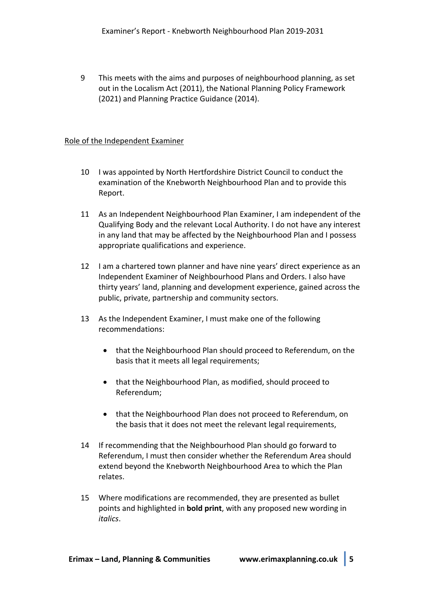9 This meets with the aims and purposes of neighbourhood planning, as set out in the Localism Act (2011), the National Planning Policy Framework (2021) and Planning Practice Guidance (2014).

## Role of the Independent Examiner

- 10 I was appointed by North Hertfordshire District Council to conduct the examination of the Knebworth Neighbourhood Plan and to provide this Report.
- 11 As an Independent Neighbourhood Plan Examiner, I am independent of the Qualifying Body and the relevant Local Authority. I do not have any interest in any land that may be affected by the Neighbourhood Plan and I possess appropriate qualifications and experience.
- 12 I am a chartered town planner and have nine years' direct experience as an Independent Examiner of Neighbourhood Plans and Orders. I also have thirty years' land, planning and development experience, gained across the public, private, partnership and community sectors.
- 13 As the Independent Examiner, I must make one of the following recommendations:
	- that the Neighbourhood Plan should proceed to Referendum, on the basis that it meets all legal requirements;
	- that the Neighbourhood Plan, as modified, should proceed to Referendum;
	- that the Neighbourhood Plan does not proceed to Referendum, on the basis that it does not meet the relevant legal requirements,
- 14 If recommending that the Neighbourhood Plan should go forward to Referendum, I must then consider whether the Referendum Area should extend beyond the Knebworth Neighbourhood Area to which the Plan relates.
- 15 Where modifications are recommended, they are presented as bullet points and highlighted in **bold print**, with any proposed new wording in *italics*.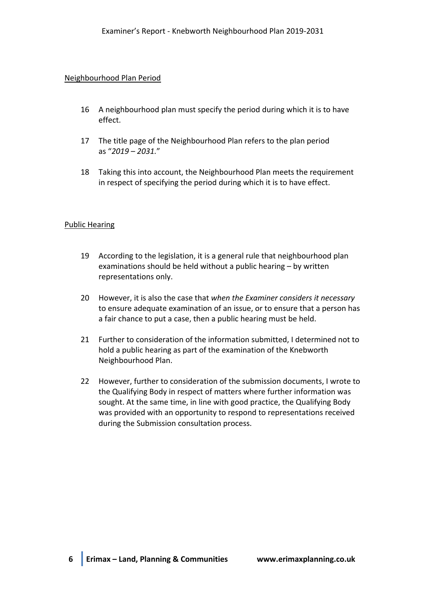## Neighbourhood Plan Period

- 16 A neighbourhood plan must specify the period during which it is to have effect.
- 17 The title page of the Neighbourhood Plan refers to the plan period as "*2019 – 2031.*"
- 18 Taking this into account, the Neighbourhood Plan meets the requirement in respect of specifying the period during which it is to have effect.

## Public Hearing

- 19 According to the legislation, it is a general rule that neighbourhood plan examinations should be held without a public hearing – by written representations only.
- 20 However, it is also the case that *when the Examiner considers it necessary* to ensure adequate examination of an issue, or to ensure that a person has a fair chance to put a case, then a public hearing must be held.
- 21 Further to consideration of the information submitted, I determined not to hold a public hearing as part of the examination of the Knebworth Neighbourhood Plan.
- 22 However, further to consideration of the submission documents, I wrote to the Qualifying Body in respect of matters where further information was sought. At the same time, in line with good practice, the Qualifying Body was provided with an opportunity to respond to representations received during the Submission consultation process.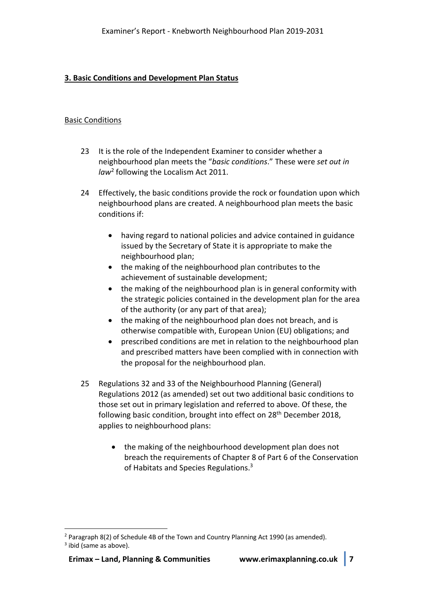# **3. Basic Conditions and Development Plan Status**

## Basic Conditions

- 23 It is the role of the Independent Examiner to consider whether a neighbourhood plan meets the "*basic conditions*." These were *set out in law*<sup>2</sup> following the Localism Act 2011.
- 24 Effectively, the basic conditions provide the rock or foundation upon which neighbourhood plans are created. A neighbourhood plan meets the basic conditions if:
	- having regard to national policies and advice contained in guidance issued by the Secretary of State it is appropriate to make the neighbourhood plan;
	- the making of the neighbourhood plan contributes to the achievement of sustainable development;
	- the making of the neighbourhood plan is in general conformity with the strategic policies contained in the development plan for the area of the authority (or any part of that area);
	- the making of the neighbourhood plan does not breach, and is otherwise compatible with, European Union (EU) obligations; and
	- prescribed conditions are met in relation to the neighbourhood plan and prescribed matters have been complied with in connection with the proposal for the neighbourhood plan.
- 25 Regulations 32 and 33 of the Neighbourhood Planning (General) Regulations 2012 (as amended) set out two additional basic conditions to those set out in primary legislation and referred to above. Of these, the following basic condition, brought into effect on 28<sup>th</sup> December 2018, applies to neighbourhood plans:
	- the making of the neighbourhood development plan does not breach the requirements of Chapter 8 of Part 6 of the Conservation of Habitats and Species Regulations.<sup>3</sup>

 $2$  Paragraph 8(2) of Schedule 4B of the Town and Country Planning Act 1990 (as amended).

<sup>&</sup>lt;sup>3</sup> ibid (same as above).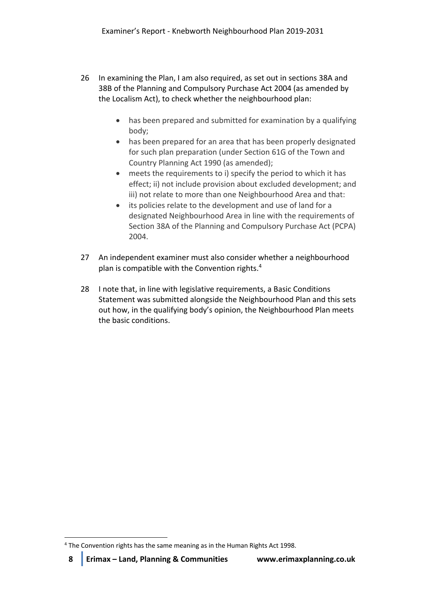- 26 In examining the Plan, I am also required, as set out in sections 38A and 38B of the Planning and Compulsory Purchase Act 2004 (as amended by the Localism Act), to check whether the neighbourhood plan:
	- has been prepared and submitted for examination by a qualifying body;
	- has been prepared for an area that has been properly designated for such plan preparation (under Section 61G of the Town and Country Planning Act 1990 (as amended);
	- meets the requirements to i) specify the period to which it has effect; ii) not include provision about excluded development; and iii) not relate to more than one Neighbourhood Area and that:
	- its policies relate to the development and use of land for a designated Neighbourhood Area in line with the requirements of Section 38A of the Planning and Compulsory Purchase Act (PCPA) 2004.
- 27 An independent examiner must also consider whether a neighbourhood plan is compatible with the Convention rights.4
- 28 I note that, in line with legislative requirements, a Basic Conditions Statement was submitted alongside the Neighbourhood Plan and this sets out how, in the qualifying body's opinion, the Neighbourhood Plan meets the basic conditions.

<sup>4</sup> The Convention rights has the same meaning as in the Human Rights Act 1998.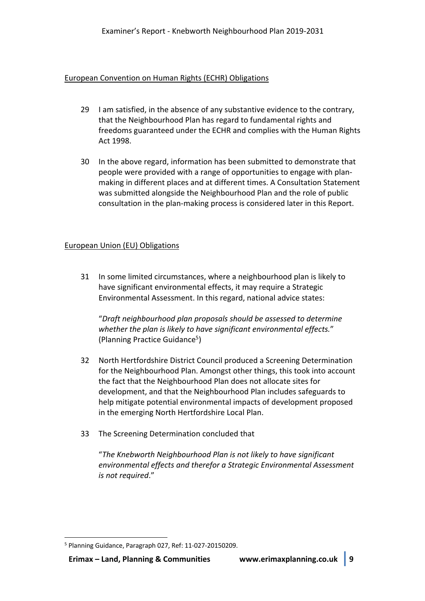## European Convention on Human Rights (ECHR) Obligations

- 29 I am satisfied, in the absence of any substantive evidence to the contrary, that the Neighbourhood Plan has regard to fundamental rights and freedoms guaranteed under the ECHR and complies with the Human Rights Act 1998.
- 30 In the above regard, information has been submitted to demonstrate that people were provided with a range of opportunities to engage with planmaking in different places and at different times. A Consultation Statement was submitted alongside the Neighbourhood Plan and the role of public consultation in the plan-making process is considered later in this Report.

# European Union (EU) Obligations

31 In some limited circumstances, where a neighbourhood plan is likely to have significant environmental effects, it may require a Strategic Environmental Assessment. In this regard, national advice states:

"*Draft neighbourhood plan proposals should be assessed to determine whether the plan is likely to have significant environmental effects.*" (Planning Practice Guidance<sup>5</sup>)

- 32 North Hertfordshire District Council produced a Screening Determination for the Neighbourhood Plan. Amongst other things, this took into account the fact that the Neighbourhood Plan does not allocate sites for development, and that the Neighbourhood Plan includes safeguards to help mitigate potential environmental impacts of development proposed in the emerging North Hertfordshire Local Plan.
- 33 The Screening Determination concluded that

"*The Knebworth Neighbourhood Plan is not likely to have significant environmental effects and therefor a Strategic Environmental Assessment is not required*."

<sup>5</sup> Planning Guidance, Paragraph 027, Ref: 11-027-20150209.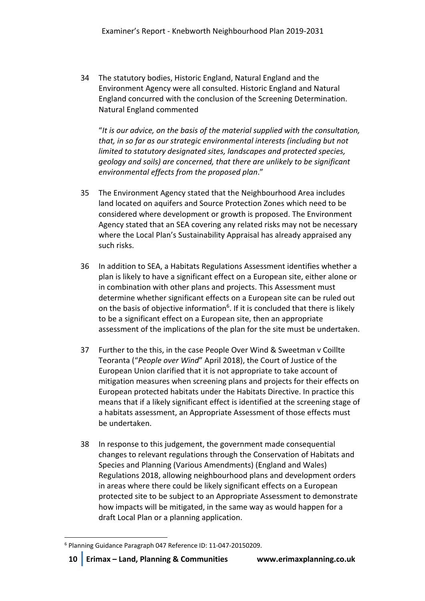34 The statutory bodies, Historic England, Natural England and the Environment Agency were all consulted. Historic England and Natural England concurred with the conclusion of the Screening Determination. Natural England commented

"*It is our advice, on the basis of the material supplied with the consultation, that, in so far as our strategic environmental interests (including but not limited to statutory designated sites, landscapes and protected species, geology and soils) are concerned, that there are unlikely to be significant environmental effects from the proposed plan*."

- 35 The Environment Agency stated that the Neighbourhood Area includes land located on aquifers and Source Protection Zones which need to be considered where development or growth is proposed. The Environment Agency stated that an SEA covering any related risks may not be necessary where the Local Plan's Sustainability Appraisal has already appraised any such risks.
- 36 In addition to SEA, a Habitats Regulations Assessment identifies whether a plan is likely to have a significant effect on a European site, either alone or in combination with other plans and projects. This Assessment must determine whether significant effects on a European site can be ruled out on the basis of objective information<sup>6</sup>. If it is concluded that there is likely to be a significant effect on a European site, then an appropriate assessment of the implications of the plan for the site must be undertaken.
- 37 Further to the this, in the case People Over Wind & Sweetman v Coillte Teoranta ("*People over Wind*" April 2018), the Court of Justice of the European Union clarified that it is not appropriate to take account of mitigation measures when screening plans and projects for their effects on European protected habitats under the Habitats Directive. In practice this means that if a likely significant effect is identified at the screening stage of a habitats assessment, an Appropriate Assessment of those effects must be undertaken.
- 38 In response to this judgement, the government made consequential changes to relevant regulations through the Conservation of Habitats and Species and Planning (Various Amendments) (England and Wales) Regulations 2018, allowing neighbourhood plans and development orders in areas where there could be likely significant effects on a European protected site to be subject to an Appropriate Assessment to demonstrate how impacts will be mitigated, in the same way as would happen for a draft Local Plan or a planning application.

<sup>6</sup> Planning Guidance Paragraph 047 Reference ID: 11-047-20150209.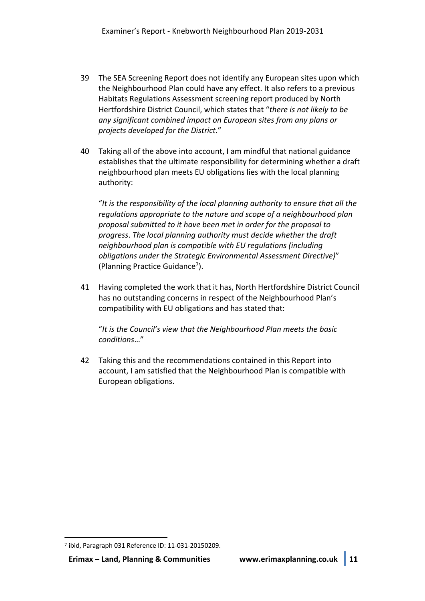- 39 The SEA Screening Report does not identify any European sites upon which the Neighbourhood Plan could have any effect. It also refers to a previous Habitats Regulations Assessment screening report produced by North Hertfordshire District Council, which states that "*there is not likely to be any significant combined impact on European sites from any plans or projects developed for the District*."
- 40 Taking all of the above into account, I am mindful that national guidance establishes that the ultimate responsibility for determining whether a draft neighbourhood plan meets EU obligations lies with the local planning authority:

"*It is the responsibility of the local planning authority to ensure that all the regulations appropriate to the nature and scope of a neighbourhood plan proposal submitted to it have been met in order for the proposal to progress*. *The local planning authority must decide whether the draft neighbourhood plan is compatible with EU regulations (including obligations under the Strategic Environmental Assessment Directive)*" (Planning Practice Guidance<sup>7</sup>).

41 Having completed the work that it has, North Hertfordshire District Council has no outstanding concerns in respect of the Neighbourhood Plan's compatibility with EU obligations and has stated that:

"*It is the Council's view that the Neighbourhood Plan meets the basic conditions*…"

42 Taking this and the recommendations contained in this Report into account, I am satisfied that the Neighbourhood Plan is compatible with European obligations.

<sup>7</sup> ibid, Paragraph 031 Reference ID: 11-031-20150209.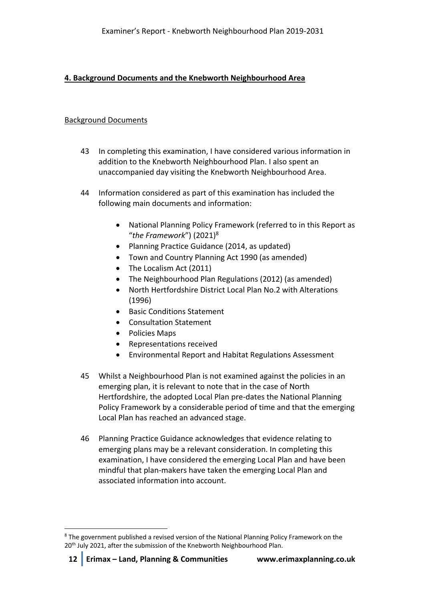# **4. Background Documents and the Knebworth Neighbourhood Area**

## Background Documents

- 43 In completing this examination, I have considered various information in addition to the Knebworth Neighbourhood Plan. I also spent an unaccompanied day visiting the Knebworth Neighbourhood Area.
- 44 Information considered as part of this examination has included the following main documents and information:
	- National Planning Policy Framework (referred to in this Report as "*the Framework*") (2021) 8
	- Planning Practice Guidance (2014, as updated)
	- Town and Country Planning Act 1990 (as amended)
	- The Localism Act (2011)
	- The Neighbourhood Plan Regulations (2012) (as amended)
	- North Hertfordshire District Local Plan No.2 with Alterations (1996)
	- Basic Conditions Statement
	- Consultation Statement
	- Policies Maps
	- Representations received
	- Environmental Report and Habitat Regulations Assessment
- 45 Whilst a Neighbourhood Plan is not examined against the policies in an emerging plan, it is relevant to note that in the case of North Hertfordshire, the adopted Local Plan pre-dates the National Planning Policy Framework by a considerable period of time and that the emerging Local Plan has reached an advanced stage.
- 46 Planning Practice Guidance acknowledges that evidence relating to emerging plans may be a relevant consideration. In completing this examination, I have considered the emerging Local Plan and have been mindful that plan-makers have taken the emerging Local Plan and associated information into account.

<sup>&</sup>lt;sup>8</sup> The government published a revised version of the National Planning Policy Framework on the 20<sup>th</sup> July 2021, after the submission of the Knebworth Neighbourhood Plan.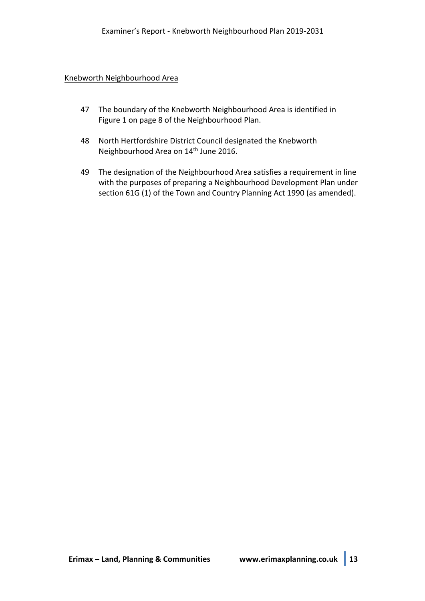## Knebworth Neighbourhood Area

- 47 The boundary of the Knebworth Neighbourhood Area is identified in Figure 1 on page 8 of the Neighbourhood Plan.
- 48 North Hertfordshire District Council designated the Knebworth Neighbourhood Area on 14<sup>th</sup> June 2016.
- 49 The designation of the Neighbourhood Area satisfies a requirement in line with the purposes of preparing a Neighbourhood Development Plan under section 61G (1) of the Town and Country Planning Act 1990 (as amended).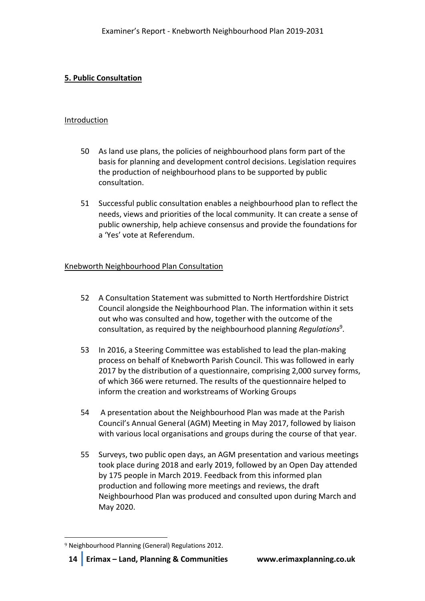# **5. Public Consultation**

## Introduction

- 50 As land use plans, the policies of neighbourhood plans form part of the basis for planning and development control decisions. Legislation requires the production of neighbourhood plans to be supported by public consultation.
- 51 Successful public consultation enables a neighbourhood plan to reflect the needs, views and priorities of the local community. It can create a sense of public ownership, help achieve consensus and provide the foundations for a 'Yes' vote at Referendum.

# Knebworth Neighbourhood Plan Consultation

- 52 A Consultation Statement was submitted to North Hertfordshire District Council alongside the Neighbourhood Plan. The information within it sets out who was consulted and how, together with the outcome of the consultation, as required by the neighbourhood planning *Regulations*<sup>9</sup>*.*
- 53 In 2016, a Steering Committee was established to lead the plan-making process on behalf of Knebworth Parish Council. This was followed in early 2017 by the distribution of a questionnaire, comprising 2,000 survey forms, of which 366 were returned. The results of the questionnaire helped to inform the creation and workstreams of Working Groups
- 54 A presentation about the Neighbourhood Plan was made at the Parish Council's Annual General (AGM) Meeting in May 2017, followed by liaison with various local organisations and groups during the course of that year.
- 55 Surveys, two public open days, an AGM presentation and various meetings took place during 2018 and early 2019, followed by an Open Day attended by 175 people in March 2019. Feedback from this informed plan production and following more meetings and reviews, the draft Neighbourhood Plan was produced and consulted upon during March and May 2020.

<sup>9</sup> Neighbourhood Planning (General) Regulations 2012.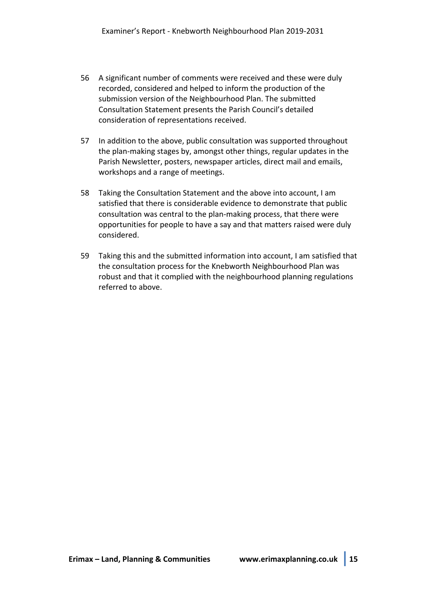- 56 A significant number of comments were received and these were duly recorded, considered and helped to inform the production of the submission version of the Neighbourhood Plan. The submitted Consultation Statement presents the Parish Council's detailed consideration of representations received.
- 57 In addition to the above, public consultation was supported throughout the plan-making stages by, amongst other things, regular updates in the Parish Newsletter, posters, newspaper articles, direct mail and emails, workshops and a range of meetings.
- 58 Taking the Consultation Statement and the above into account, I am satisfied that there is considerable evidence to demonstrate that public consultation was central to the plan-making process, that there were opportunities for people to have a say and that matters raised were duly considered.
- 59 Taking this and the submitted information into account, I am satisfied that the consultation process for the Knebworth Neighbourhood Plan was robust and that it complied with the neighbourhood planning regulations referred to above.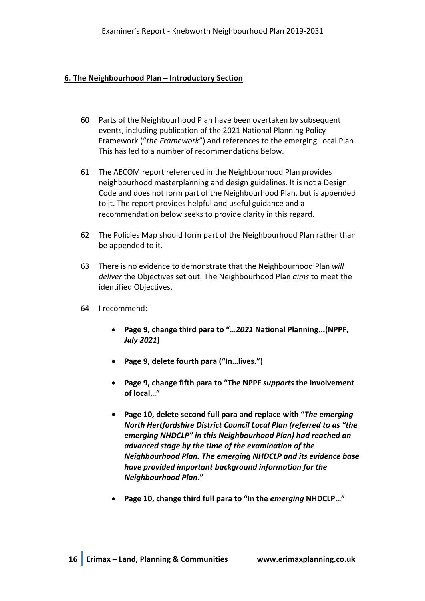## **6. The Neighbourhood Plan – Introductory Section**

- 60 Parts of the Neighbourhood Plan have been overtaken by subsequent events, including publication of the 2021 National Planning Policy Framework ("*the Framework*") and references to the emerging Local Plan. This has led to a number of recommendations below.
- 61 The AECOM report referenced in the Neighbourhood Plan provides neighbourhood masterplanning and design guidelines. It is not a Design Code and does not form part of the Neighbourhood Plan, but is appended to it. The report provides helpful and useful guidance and a recommendation below seeks to provide clarity in this regard.
- 62 The Policies Map should form part of the Neighbourhood Plan rather than be appended to it.
- 63 There is no evidence to demonstrate that the Neighbourhood Plan *will deliver* the Objectives set out. The Neighbourhood Plan *aims* to meet the identified Objectives.
- 64 I recommend:
	- **Page 9, change third para to "…***2021* **National Planning...(NPPF,**  *July 2021***)**
	- **Page 9, delete fourth para ("In…lives.")**
	- **Page 9, change fifth para to "The NPPF** *supports* **the involvement of local…"**
	- **Page 10, delete second full para and replace with "***The emerging North Hertfordshire District Council Local Plan (referred to as "the emerging NHDCLP" in this Neighbourhood Plan) had reached an advanced stage by the time of the examination of the Neighbourhood Plan. The emerging NHDCLP and its evidence base have provided important background information for the Neighbourhood Plan***."**
	- **Page 10, change third full para to "In the** *emerging* **NHDCLP…"**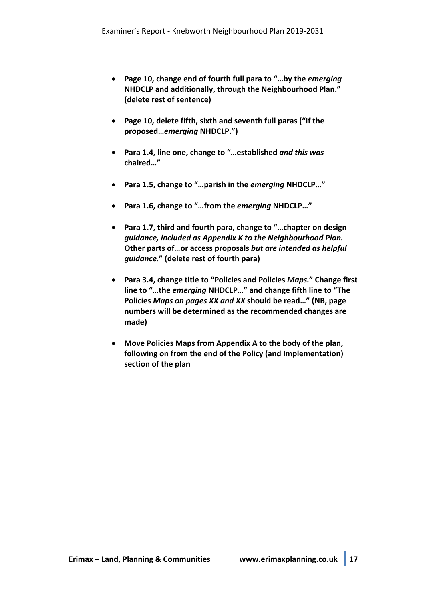- **Page 10, change end of fourth full para to "…by the** *emerging*  **NHDCLP and additionally, through the Neighbourhood Plan." (delete rest of sentence)**
- **Page 10, delete fifth, sixth and seventh full paras ("If the proposed…***emerging* **NHDCLP.")**
- **Para 1.4, line one, change to "…established** *and this was* **chaired…"**
- **Para 1.5, change to "…parish in the** *emerging* **NHDCLP…"**
- **Para 1.6, change to "…from the** *emerging* **NHDCLP…"**
- **Para 1.7, third and fourth para, change to "…chapter on design**  *guidance, included as Appendix K to the Neighbourhood Plan.* **Other parts of***…***or access proposals** *but are intended as helpful guidance.***" (delete rest of fourth para)**
- **Para 3.4, change title to "Policies and Policies** *Maps.***" Change first line to "…the** *emerging* **NHDCLP…" and change fifth line to "The Policies** *Maps on pages XX and XX* **should be read…" (NB, page numbers will be determined as the recommended changes are made)**
- **Move Policies Maps from Appendix A to the body of the plan, following on from the end of the Policy (and Implementation) section of the plan**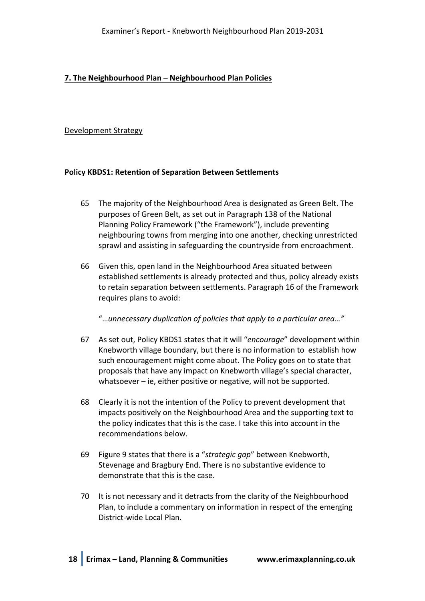## **7. The Neighbourhood Plan – Neighbourhood Plan Policies**

## Development Strategy

## **Policy KBDS1: Retention of Separation Between Settlements**

- 65 The majority of the Neighbourhood Area is designated as Green Belt. The purposes of Green Belt, as set out in Paragraph 138 of the National Planning Policy Framework ("the Framework"), include preventing neighbouring towns from merging into one another, checking unrestricted sprawl and assisting in safeguarding the countryside from encroachment.
- 66 Given this, open land in the Neighbourhood Area situated between established settlements is already protected and thus, policy already exists to retain separation between settlements. Paragraph 16 of the Framework requires plans to avoid:

"…*unnecessary duplication of policies that apply to a particular area…"*

- 67 As set out, Policy KBDS1 states that it will "*encourage*" development within Knebworth village boundary, but there is no information to establish how such encouragement might come about. The Policy goes on to state that proposals that have any impact on Knebworth village's special character, whatsoever – ie, either positive or negative, will not be supported.
- 68 Clearly it is not the intention of the Policy to prevent development that impacts positively on the Neighbourhood Area and the supporting text to the policy indicates that this is the case. I take this into account in the recommendations below.
- 69 Figure 9 states that there is a "*strategic gap*" between Knebworth, Stevenage and Bragbury End. There is no substantive evidence to demonstrate that this is the case.
- 70 It is not necessary and it detracts from the clarity of the Neighbourhood Plan, to include a commentary on information in respect of the emerging District-wide Local Plan.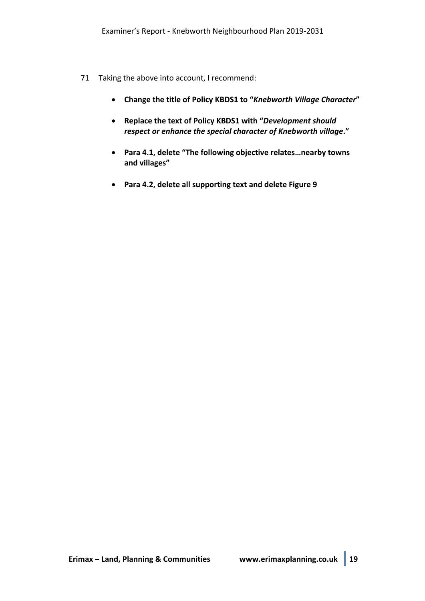- 71 Taking the above into account, I recommend:
	- **Change the title of Policy KBDS1 to "***Knebworth Village Character***"**
	- **Replace the text of Policy KBDS1 with "***Development should respect or enhance the special character of Knebworth village***."**
	- **Para 4.1, delete "The following objective relates…nearby towns and villages"**
	- **Para 4.2, delete all supporting text and delete Figure 9**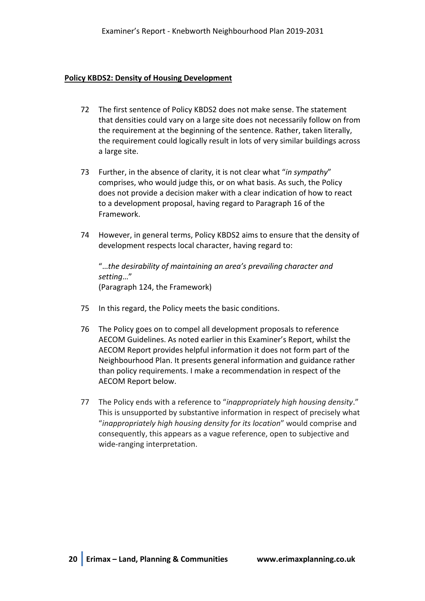## **Policy KBDS2: Density of Housing Development**

- 72 The first sentence of Policy KBDS2 does not make sense. The statement that densities could vary on a large site does not necessarily follow on from the requirement at the beginning of the sentence. Rather, taken literally, the requirement could logically result in lots of very similar buildings across a large site.
- 73 Further, in the absence of clarity, it is not clear what "*in sympathy*" comprises, who would judge this, or on what basis. As such, the Policy does not provide a decision maker with a clear indication of how to react to a development proposal, having regard to Paragraph 16 of the Framework.
- 74 However, in general terms, Policy KBDS2 aims to ensure that the density of development respects local character, having regard to:

"…*the desirability of maintaining an area's prevailing character and setting*…" (Paragraph 124, the Framework)

- 75 In this regard, the Policy meets the basic conditions.
- 76 The Policy goes on to compel all development proposals to reference AECOM Guidelines. As noted earlier in this Examiner's Report, whilst the AECOM Report provides helpful information it does not form part of the Neighbourhood Plan. It presents general information and guidance rather than policy requirements. I make a recommendation in respect of the AECOM Report below.
- 77 The Policy ends with a reference to "*inappropriately high housing density*." This is unsupported by substantive information in respect of precisely what "*inappropriately high housing density for its location*" would comprise and consequently, this appears as a vague reference, open to subjective and wide-ranging interpretation.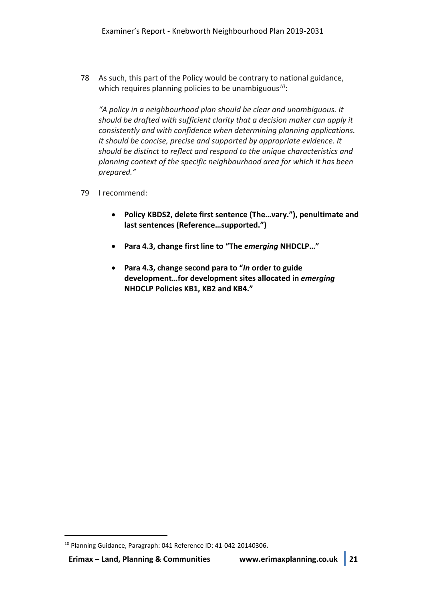78 As such, this part of the Policy would be contrary to national guidance, which requires planning policies to be unambiguous*<sup>10</sup>*:

*"A policy in a neighbourhood plan should be clear and unambiguous. It should be drafted with sufficient clarity that a decision maker can apply it consistently and with confidence when determining planning applications. It should be concise, precise and supported by appropriate evidence. It should be distinct to reflect and respond to the unique characteristics and planning context of the specific neighbourhood area for which it has been prepared."*

- 79 I recommend:
	- **Policy KBDS2, delete first sentence (The…vary."), penultimate and last sentences (Reference…supported.")**
	- **Para 4.3, change first line to "The** *emerging* **NHDCLP…"**
	- **Para 4.3, change second para to "***In* **order to guide development…for development sites allocated in** *emerging*  **NHDCLP Policies KB1, KB2 and KB4."**

<sup>&</sup>lt;sup>10</sup> Planning Guidance, Paragraph: 041 Reference ID: 41-042-20140306.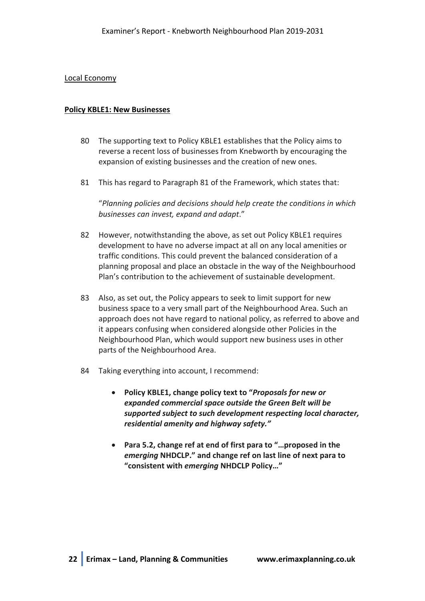## Local Economy

#### **Policy KBLE1: New Businesses**

- 80 The supporting text to Policy KBLE1 establishes that the Policy aims to reverse a recent loss of businesses from Knebworth by encouraging the expansion of existing businesses and the creation of new ones.
- 81 This has regard to Paragraph 81 of the Framework, which states that:

"*Planning policies and decisions should help create the conditions in which businesses can invest, expand and adapt*."

- 82 However, notwithstanding the above, as set out Policy KBLE1 requires development to have no adverse impact at all on any local amenities or traffic conditions. This could prevent the balanced consideration of a planning proposal and place an obstacle in the way of the Neighbourhood Plan's contribution to the achievement of sustainable development.
- 83 Also, as set out, the Policy appears to seek to limit support for new business space to a very small part of the Neighbourhood Area. Such an approach does not have regard to national policy, as referred to above and it appears confusing when considered alongside other Policies in the Neighbourhood Plan, which would support new business uses in other parts of the Neighbourhood Area.
- 84 Taking everything into account, I recommend:
	- **Policy KBLE1, change policy text to "***Proposals for new or expanded commercial space outside the Green Belt will be supported subject to such development respecting local character, residential amenity and highway safety."*
	- **Para 5.2, change ref at end of first para to "…proposed in the**  *emerging* **NHDCLP." and change ref on last line of next para to "consistent with** *emerging* **NHDCLP Policy…"**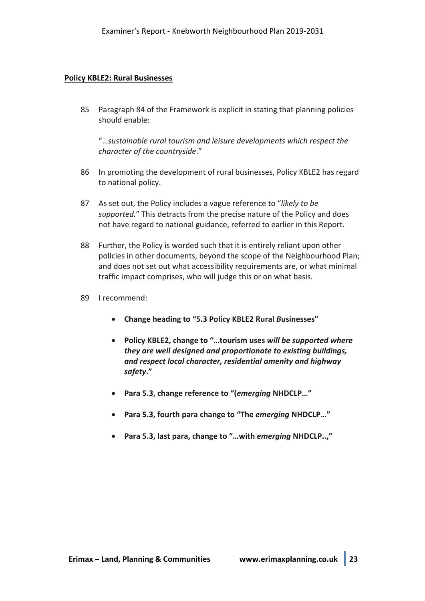#### **Policy KBLE2: Rural Businesses**

85 Paragraph 84 of the Framework is explicit in stating that planning policies should enable:

"…*sustainable rural tourism and leisure developments which respect the character of the countryside*."

- 86 In promoting the development of rural businesses, Policy KBLE2 has regard to national policy.
- 87 As set out, the Policy includes a vague reference to "*likely to be supported.*" This detracts from the precise nature of the Policy and does not have regard to national guidance, referred to earlier in this Report.
- 88 Further, the Policy is worded such that it is entirely reliant upon other policies in other documents, beyond the scope of the Neighbourhood Plan; and does not set out what accessibility requirements are, or what minimal traffic impact comprises, who will judge this or on what basis.
- 89 I recommend:
	- **Change heading to "5.3 Policy KBLE2 Rural** *B***usinesses"**
	- **Policy KBLE2, change to "…tourism uses** *will be supported where they are well designed and proportionate to existing buildings, and respect local character, residential amenity and highway safety***."**
	- **Para 5.3, change reference to "(***emerging* **NHDCLP…"**
	- **Para 5.3, fourth para change to "The** *emerging* **NHDCLP…"**
	- **Para 5.3, last para, change to "…with** *emerging* **NHDCLP..,"**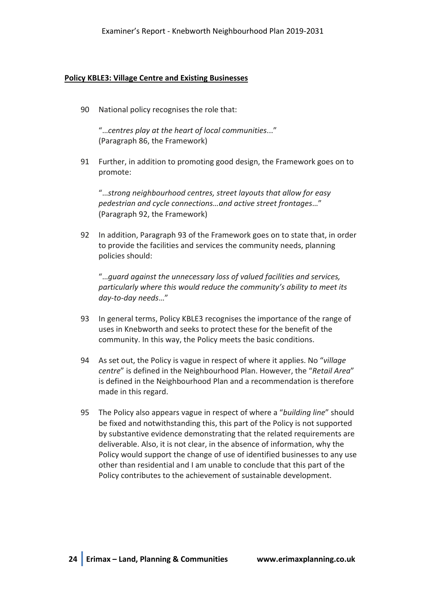#### **Policy KBLE3: Village Centre and Existing Businesses**

90 National policy recognises the role that:

"…*centres play at the heart of local communities*..." (Paragraph 86, the Framework)

91 Further, in addition to promoting good design, the Framework goes on to promote:

"…*strong neighbourhood centres, street layouts that allow for easy pedestrian and cycle connections…and active street frontages*…" (Paragraph 92, the Framework)

92 In addition, Paragraph 93 of the Framework goes on to state that, in order to provide the facilities and services the community needs, planning policies should:

"…*guard against the unnecessary loss of valued facilities and services, particularly where this would reduce the community's ability to meet its day-to-day needs*…"

- 93 In general terms, Policy KBLE3 recognises the importance of the range of uses in Knebworth and seeks to protect these for the benefit of the community. In this way, the Policy meets the basic conditions.
- 94 As set out, the Policy is vague in respect of where it applies. No "*village centre*" is defined in the Neighbourhood Plan. However, the "*Retail Area*" is defined in the Neighbourhood Plan and a recommendation is therefore made in this regard.
- 95 The Policy also appears vague in respect of where a "*building line*" should be fixed and notwithstanding this, this part of the Policy is not supported by substantive evidence demonstrating that the related requirements are deliverable. Also, it is not clear, in the absence of information, why the Policy would support the change of use of identified businesses to any use other than residential and I am unable to conclude that this part of the Policy contributes to the achievement of sustainable development.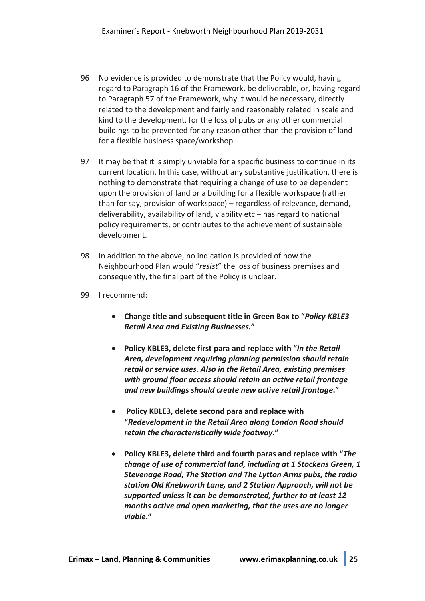- 96 No evidence is provided to demonstrate that the Policy would, having regard to Paragraph 16 of the Framework, be deliverable, or, having regard to Paragraph 57 of the Framework, why it would be necessary, directly related to the development and fairly and reasonably related in scale and kind to the development, for the loss of pubs or any other commercial buildings to be prevented for any reason other than the provision of land for a flexible business space/workshop.
- 97 It may be that it is simply unviable for a specific business to continue in its current location. In this case, without any substantive justification, there is nothing to demonstrate that requiring a change of use to be dependent upon the provision of land or a building for a flexible workspace (rather than for say, provision of workspace) – regardless of relevance, demand, deliverability, availability of land, viability etc – has regard to national policy requirements, or contributes to the achievement of sustainable development.
- 98 In addition to the above, no indication is provided of how the Neighbourhood Plan would "*resist*" the loss of business premises and consequently, the final part of the Policy is unclear.
- 99 I recommend:
	- **Change title and subsequent title in Green Box to "***Policy KBLE3 Retail Area and Existing Businesses.***"**
	- **Policy KBLE3, delete first para and replace with "***In the Retail Area, development requiring planning permission should retain retail or service uses. Also in the Retail Area, existing premises with ground floor access should retain an active retail frontage and new buildings should create new active retail frontage***."**
	- **Policy KBLE3, delete second para and replace with "***Redevelopment in the Retail Area along London Road should retain the characteristically wide footway***."**
	- **Policy KBLE3, delete third and fourth paras and replace with "***The change of use of commercial land, including at 1 Stockens Green, 1 Stevenage Road, The Station and The Lytton Arms pubs, the radio station Old Knebworth Lane, and 2 Station Approach, will not be supported unless it can be demonstrated, further to at least 12 months active and open marketing, that the uses are no longer viable***."**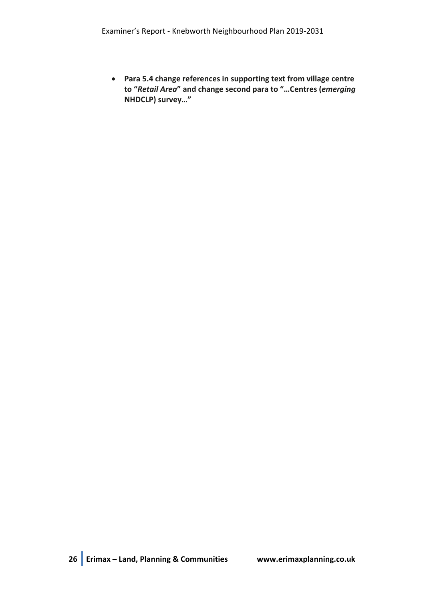• **Para 5.4 change references in supporting text from village centre to "***Retail Area***" and change second para to "…Centres (***emerging* **NHDCLP) survey…"**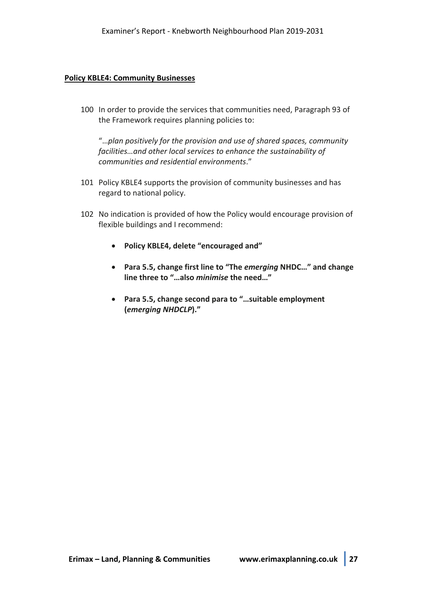## **Policy KBLE4: Community Businesses**

100 In order to provide the services that communities need, Paragraph 93 of the Framework requires planning policies to:

"…*plan positively for the provision and use of shared spaces, community facilities…and other local services to enhance the sustainability of communities and residential environments*."

- 101 Policy KBLE4 supports the provision of community businesses and has regard to national policy.
- 102 No indication is provided of how the Policy would encourage provision of flexible buildings and I recommend:
	- **Policy KBLE4, delete "encouraged and"**
	- **Para 5.5, change first line to "The** *emerging* **NHDC…" and change line three to "…also** *minimise* **the need…"**
	- **Para 5.5, change second para to "…suitable employment (***emerging NHDCLP***)."**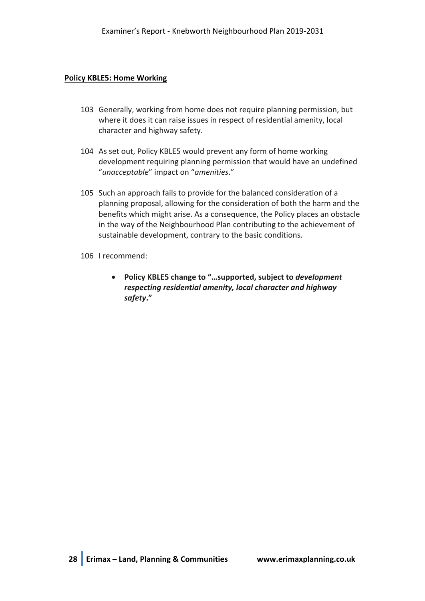## **Policy KBLE5: Home Working**

- 103 Generally, working from home does not require planning permission, but where it does it can raise issues in respect of residential amenity, local character and highway safety.
- 104 As set out, Policy KBLE5 would prevent any form of home working development requiring planning permission that would have an undefined "*unacceptable*" impact on "*amenities*."
- 105 Such an approach fails to provide for the balanced consideration of a planning proposal, allowing for the consideration of both the harm and the benefits which might arise. As a consequence, the Policy places an obstacle in the way of the Neighbourhood Plan contributing to the achievement of sustainable development, contrary to the basic conditions.

106 I recommend:

• **Policy KBLE5 change to "…supported, subject to** *development respecting residential amenity, local character and highway safety***."**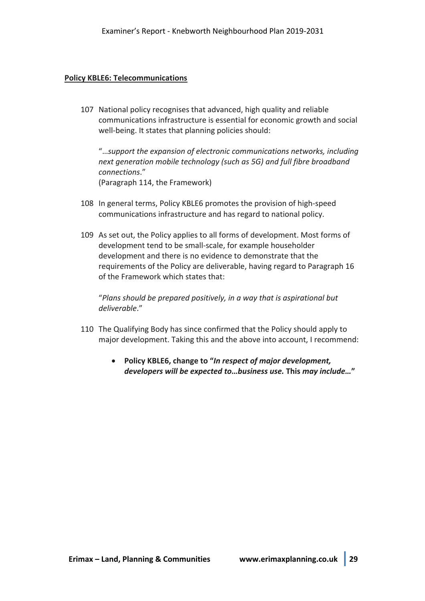## **Policy KBLE6: Telecommunications**

107 National policy recognises that advanced, high quality and reliable communications infrastructure is essential for economic growth and social well-being. It states that planning policies should:

"…*support the expansion of electronic communications networks, including next generation mobile technology (such as 5G) and full fibre broadband connections*." (Paragraph 114, the Framework)

- 108 In general terms, Policy KBLE6 promotes the provision of high-speed communications infrastructure and has regard to national policy.
- 109 As set out, the Policy applies to all forms of development. Most forms of development tend to be small-scale, for example householder development and there is no evidence to demonstrate that the requirements of the Policy are deliverable, having regard to Paragraph 16 of the Framework which states that:

"*Plans should be prepared positively, in a way that is aspirational but deliverable*."

- 110 The Qualifying Body has since confirmed that the Policy should apply to major development. Taking this and the above into account, I recommend:
	- **Policy KBLE6, change to "***In respect of major development, developers will be expected to…business use.* **This** *may include…***"**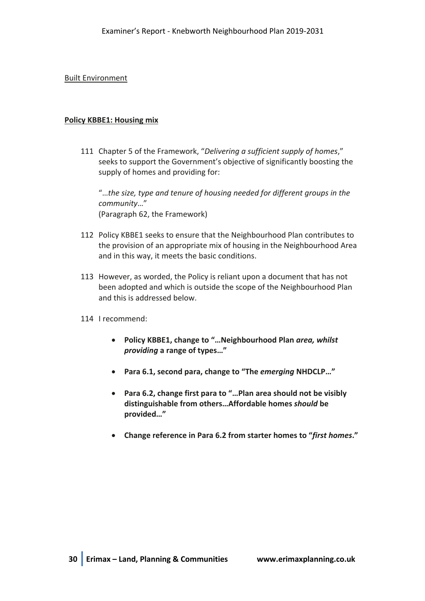Built Environment

## **Policy KBBE1: Housing mix**

111 Chapter 5 of the Framework, "*Delivering a sufficient supply of homes*," seeks to support the Government's objective of significantly boosting the supply of homes and providing for:

"…*the size, type and tenure of housing needed for different groups in the community*…" (Paragraph 62, the Framework)

- 112 Policy KBBE1 seeks to ensure that the Neighbourhood Plan contributes to the provision of an appropriate mix of housing in the Neighbourhood Area and in this way, it meets the basic conditions.
- 113 However, as worded, the Policy is reliant upon a document that has not been adopted and which is outside the scope of the Neighbourhood Plan and this is addressed below.
- 114 I recommend:
	- **Policy KBBE1, change to "…Neighbourhood Plan** *area, whilst providing* **a range of types…"**
	- **Para 6.1, second para, change to "The** *emerging* **NHDCLP…"**
	- **Para 6.2, change first para to "…Plan area should not be visibly distinguishable from others…Affordable homes** *should* **be provided…"**
	- **Change reference in Para 6.2 from starter homes to "***first homes***."**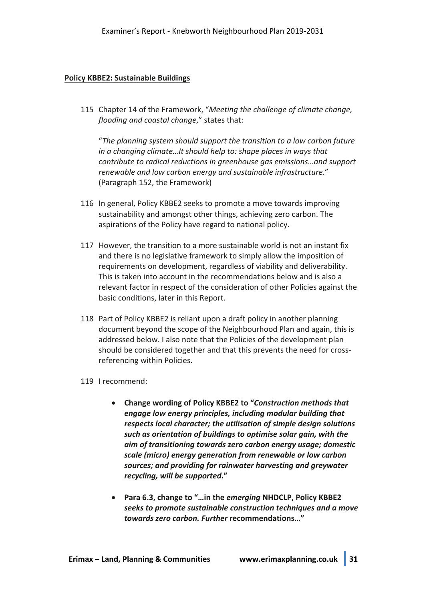#### **Policy KBBE2: Sustainable Buildings**

115 Chapter 14 of the Framework, "*Meeting the challenge of climate change, flooding and coastal change*," states that:

"*The planning system should support the transition to a low carbon future in a changing climate…It should help to: shape places in ways that contribute to radical reductions in greenhouse gas emissions…and support renewable and low carbon energy and sustainable infrastructure*." (Paragraph 152, the Framework)

- 116 In general, Policy KBBE2 seeks to promote a move towards improving sustainability and amongst other things, achieving zero carbon. The aspirations of the Policy have regard to national policy.
- 117 However, the transition to a more sustainable world is not an instant fix and there is no legislative framework to simply allow the imposition of requirements on development, regardless of viability and deliverability. This is taken into account in the recommendations below and is also a relevant factor in respect of the consideration of other Policies against the basic conditions, later in this Report.
- 118 Part of Policy KBBE2 is reliant upon a draft policy in another planning document beyond the scope of the Neighbourhood Plan and again, this is addressed below. I also note that the Policies of the development plan should be considered together and that this prevents the need for crossreferencing within Policies.
- 119 I recommend:
	- **Change wording of Policy KBBE2 to "***Construction methods that engage low energy principles, including modular building that respects local character; the utilisation of simple design solutions such as orientation of buildings to optimise solar gain, with the aim of transitioning towards zero carbon energy usage; domestic scale (micro) energy generation from renewable or low carbon sources; and providing for rainwater harvesting and greywater recycling, will be supported***."**
	- **Para 6.3, change to "…in the** *emerging* **NHDCLP, Policy KBBE2**  *seeks to promote sustainable construction techniques and a move towards zero carbon. Further* **recommendations…"**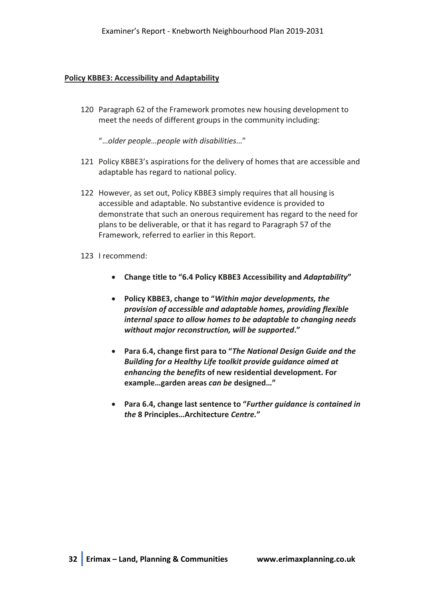## **Policy KBBE3: Accessibility and Adaptability**

120 Paragraph 62 of the Framework promotes new housing development to meet the needs of different groups in the community including:

"…*older people…people with disabilities*…"

- 121 Policy KBBE3's aspirations for the delivery of homes that are accessible and adaptable has regard to national policy.
- 122 However, as set out, Policy KBBE3 simply requires that all housing is accessible and adaptable. No substantive evidence is provided to demonstrate that such an onerous requirement has regard to the need for plans to be deliverable, or that it has regard to Paragraph 57 of the Framework, referred to earlier in this Report.
- 123 I recommend:
	- **Change title to "6.4 Policy KBBE3 Accessibility and** *Adaptability***"**
	- **Policy KBBE3, change to "***Within major developments, the provision of accessible and adaptable homes, providing flexible internal space to allow homes to be adaptable to changing needs without major reconstruction, will be supported***."**
	- **Para 6.4, change first para to "***The National Design Guide and the Building for a Healthy Life toolkit provide guidance aimed at enhancing the benefits* **of new residential development. For example…garden areas** *can be* **designed…"**
	- **Para 6.4, change last sentence to "***Further guidance is contained in the* **8 Principles…Architecture** *Centre.***"**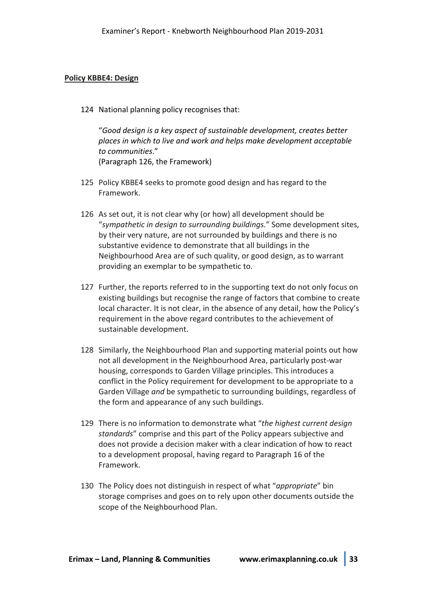#### **Policy KBBE4: Design**

124 National planning policy recognises that:

"*Good design is a key aspect of sustainable development, creates better places in which to live and work and helps make development acceptable to communities*." (Paragraph 126, the Framework)

- 125 Policy KBBE4 seeks to promote good design and has regard to the Framework.
- 126 As set out, it is not clear why (or how) all development should be "*sympathetic in design to surrounding buildings.*" Some development sites, by their very nature, are not surrounded by buildings and there is no substantive evidence to demonstrate that all buildings in the Neighbourhood Area are of such quality, or good design, as to warrant providing an exemplar to be sympathetic to.
- 127 Further, the reports referred to in the supporting text do not only focus on existing buildings but recognise the range of factors that combine to create local character. It is not clear, in the absence of any detail, how the Policy's requirement in the above regard contributes to the achievement of sustainable development.
- 128 Similarly, the Neighbourhood Plan and supporting material points out how not all development in the Neighbourhood Area, particularly post-war housing, corresponds to Garden Village principles. This introduces a conflict in the Policy requirement for development to be appropriate to a Garden Village *and* be sympathetic to surrounding buildings, regardless of the form and appearance of any such buildings.
- 129 There is no information to demonstrate what "*the highest current design standards*" comprise and this part of the Policy appears subjective and does not provide a decision maker with a clear indication of how to react to a development proposal, having regard to Paragraph 16 of the Framework.
- 130 The Policy does not distinguish in respect of what "*appropriate*" bin storage comprises and goes on to rely upon other documents outside the scope of the Neighbourhood Plan.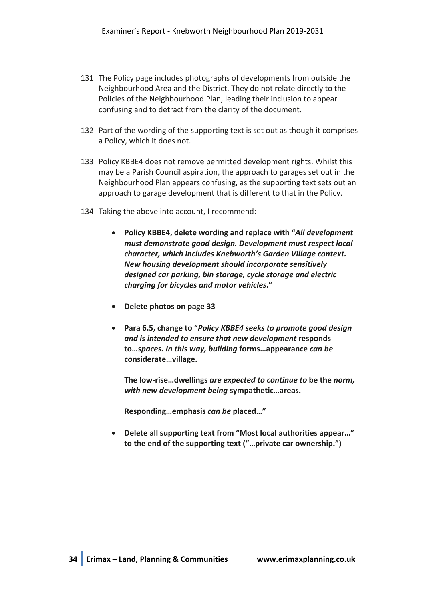- 131 The Policy page includes photographs of developments from outside the Neighbourhood Area and the District. They do not relate directly to the Policies of the Neighbourhood Plan, leading their inclusion to appear confusing and to detract from the clarity of the document.
- 132 Part of the wording of the supporting text is set out as though it comprises a Policy, which it does not.
- 133 Policy KBBE4 does not remove permitted development rights. Whilst this may be a Parish Council aspiration, the approach to garages set out in the Neighbourhood Plan appears confusing, as the supporting text sets out an approach to garage development that is different to that in the Policy.
- 134 Taking the above into account, I recommend:
	- **Policy KBBE4, delete wording and replace with "***All development must demonstrate good design. Development must respect local character, which includes Knebworth's Garden Village context. New housing development should incorporate sensitively designed car parking, bin storage, cycle storage and electric charging for bicycles and motor vehicles***."**
	- **Delete photos on page 33**
	- **Para 6.5, change to "***Policy KBBE4 seeks to promote good design and is intended to ensure that new development* **responds to…***spaces. In this way, building* **forms…appearance** *can be* **considerate…village.**

**The low-rise…dwellings** *are expected to continue to* **be the** *norm, with new development being* **sympathetic…areas.**

**Responding…emphasis** *can be* **placed…"**

• **Delete all supporting text from "Most local authorities appear…" to the end of the supporting text ("…private car ownership.")**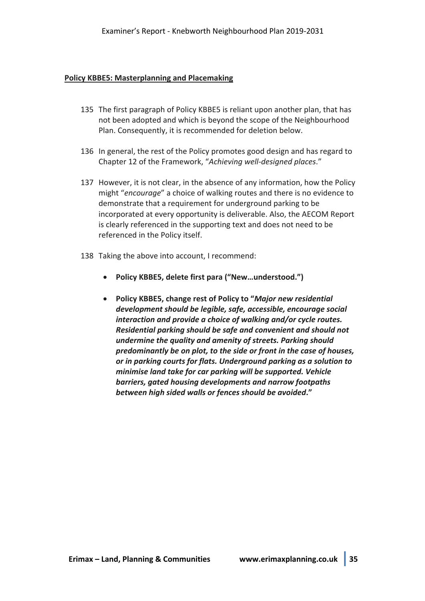#### **Policy KBBE5: Masterplanning and Placemaking**

- 135 The first paragraph of Policy KBBE5 is reliant upon another plan, that has not been adopted and which is beyond the scope of the Neighbourhood Plan. Consequently, it is recommended for deletion below.
- 136 In general, the rest of the Policy promotes good design and has regard to Chapter 12 of the Framework, "*Achieving well-designed places*."
- 137 However, it is not clear, in the absence of any information, how the Policy might "*encourage*" a choice of walking routes and there is no evidence to demonstrate that a requirement for underground parking to be incorporated at every opportunity is deliverable. Also, the AECOM Report is clearly referenced in the supporting text and does not need to be referenced in the Policy itself.
- 138 Taking the above into account, I recommend:
	- **Policy KBBE5, delete first para ("New…understood.")**
	- **Policy KBBE5, change rest of Policy to "***Major new residential development should be legible, safe, accessible, encourage social interaction and provide a choice of walking and/or cycle routes. Residential parking should be safe and convenient and should not undermine the quality and amenity of streets. Parking should predominantly be on plot, to the side or front in the case of houses, or in parking courts for flats. Underground parking as a solution to minimise land take for car parking will be supported. Vehicle barriers, gated housing developments and narrow footpaths between high sided walls or fences should be avoided***."**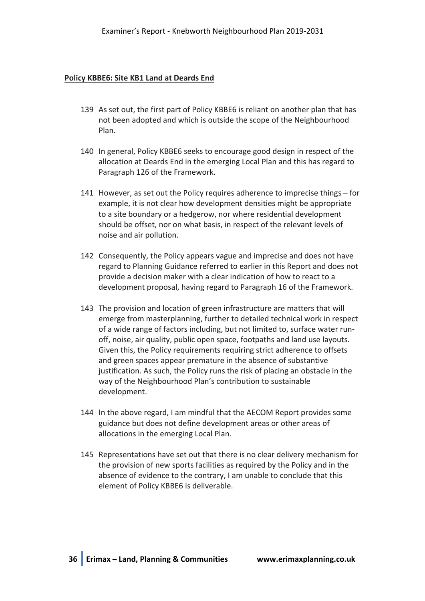#### **Policy KBBE6: Site KB1 Land at Deards End**

- 139 As set out, the first part of Policy KBBE6 is reliant on another plan that has not been adopted and which is outside the scope of the Neighbourhood Plan.
- 140 In general, Policy KBBE6 seeks to encourage good design in respect of the allocation at Deards End in the emerging Local Plan and this has regard to Paragraph 126 of the Framework.
- 141 However, as set out the Policy requires adherence to imprecise things for example, it is not clear how development densities might be appropriate to a site boundary or a hedgerow, nor where residential development should be offset, nor on what basis, in respect of the relevant levels of noise and air pollution.
- 142 Consequently, the Policy appears vague and imprecise and does not have regard to Planning Guidance referred to earlier in this Report and does not provide a decision maker with a clear indication of how to react to a development proposal, having regard to Paragraph 16 of the Framework.
- 143 The provision and location of green infrastructure are matters that will emerge from masterplanning, further to detailed technical work in respect of a wide range of factors including, but not limited to, surface water runoff, noise, air quality, public open space, footpaths and land use layouts. Given this, the Policy requirements requiring strict adherence to offsets and green spaces appear premature in the absence of substantive justification. As such, the Policy runs the risk of placing an obstacle in the way of the Neighbourhood Plan's contribution to sustainable development.
- 144 In the above regard, I am mindful that the AECOM Report provides some guidance but does not define development areas or other areas of allocations in the emerging Local Plan.
- 145 Representations have set out that there is no clear delivery mechanism for the provision of new sports facilities as required by the Policy and in the absence of evidence to the contrary, I am unable to conclude that this element of Policy KBBE6 is deliverable.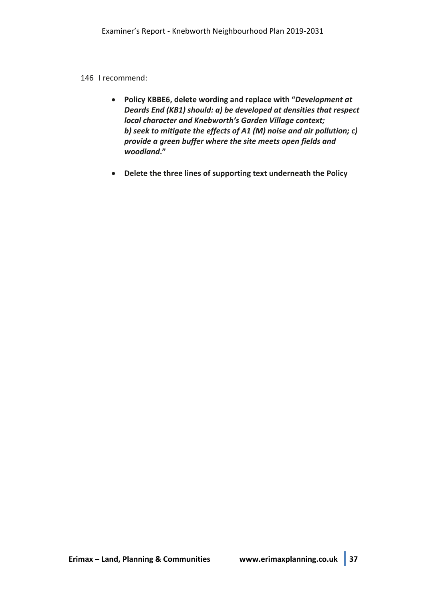#### 146 I recommend:

- **Policy KBBE6, delete wording and replace with "***Development at Deards End (KB1) should: a) be developed at densities that respect local character and Knebworth's Garden Village context; b) seek to mitigate the effects of A1 (M) noise and air pollution; c) provide a green buffer where the site meets open fields and woodland***."**
- **Delete the three lines of supporting text underneath the Policy**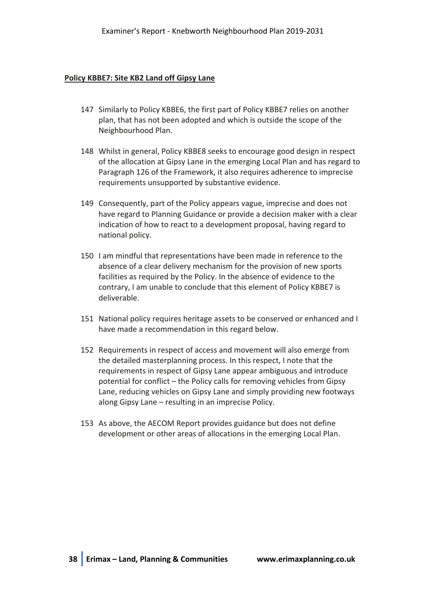## **Policy KBBE7: Site KB2 Land off Gipsy Lane**

- 147 Similarly to Policy KBBE6, the first part of Policy KBBE7 relies on another plan, that has not been adopted and which is outside the scope of the Neighbourhood Plan.
- 148 Whilst in general, Policy KBBE8 seeks to encourage good design in respect of the allocation at Gipsy Lane in the emerging Local Plan and has regard to Paragraph 126 of the Framework, it also requires adherence to imprecise requirements unsupported by substantive evidence.
- 149 Consequently, part of the Policy appears vague, imprecise and does not have regard to Planning Guidance or provide a decision maker with a clear indication of how to react to a development proposal, having regard to national policy.
- 150 I am mindful that representations have been made in reference to the absence of a clear delivery mechanism for the provision of new sports facilities as required by the Policy. In the absence of evidence to the contrary, I am unable to conclude that this element of Policy KBBE7 is deliverable.
- 151 National policy requires heritage assets to be conserved or enhanced and I have made a recommendation in this regard below.
- 152 Requirements in respect of access and movement will also emerge from the detailed masterplanning process. In this respect, I note that the requirements in respect of Gipsy Lane appear ambiguous and introduce potential for conflict – the Policy calls for removing vehicles from Gipsy Lane, reducing vehicles on Gipsy Lane and simply providing new footways along Gipsy Lane – resulting in an imprecise Policy.
- 153 As above, the AECOM Report provides guidance but does not define development or other areas of allocations in the emerging Local Plan.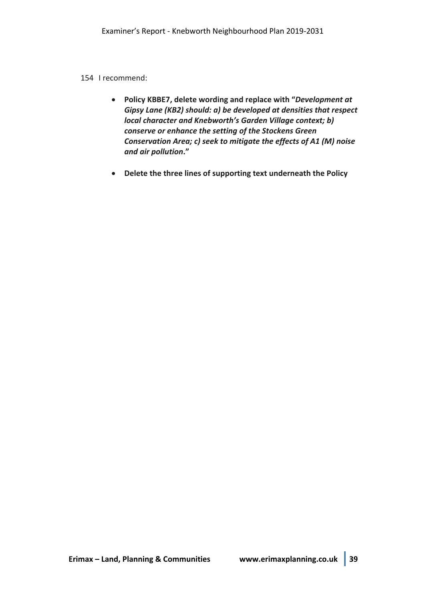#### 154 I recommend:

- **Policy KBBE7, delete wording and replace with "***Development at Gipsy Lane (KB2) should: a) be developed at densities that respect local character and Knebworth's Garden Village context; b) conserve or enhance the setting of the Stockens Green Conservation Area; c) seek to mitigate the effects of A1 (M) noise and air pollution***."**
- **Delete the three lines of supporting text underneath the Policy**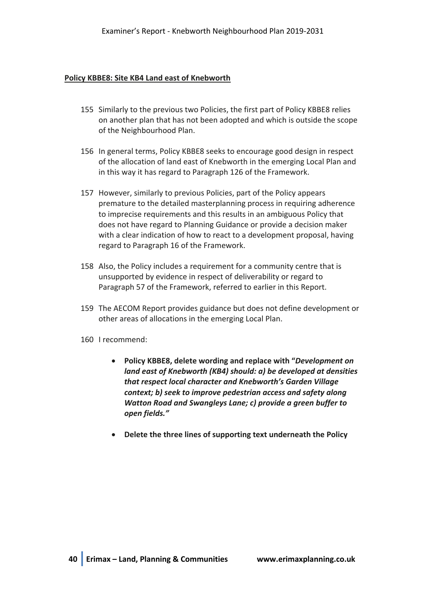## **Policy KBBE8: Site KB4 Land east of Knebworth**

- 155 Similarly to the previous two Policies, the first part of Policy KBBE8 relies on another plan that has not been adopted and which is outside the scope of the Neighbourhood Plan.
- 156 In general terms, Policy KBBE8 seeks to encourage good design in respect of the allocation of land east of Knebworth in the emerging Local Plan and in this way it has regard to Paragraph 126 of the Framework.
- 157 However, similarly to previous Policies, part of the Policy appears premature to the detailed masterplanning process in requiring adherence to imprecise requirements and this results in an ambiguous Policy that does not have regard to Planning Guidance or provide a decision maker with a clear indication of how to react to a development proposal, having regard to Paragraph 16 of the Framework.
- 158 Also, the Policy includes a requirement for a community centre that is unsupported by evidence in respect of deliverability or regard to Paragraph 57 of the Framework, referred to earlier in this Report.
- 159 The AECOM Report provides guidance but does not define development or other areas of allocations in the emerging Local Plan.
- 160 I recommend:
	- **Policy KBBE8, delete wording and replace with "***Development on land east of Knebworth (KB4) should: a) be developed at densities that respect local character and Knebworth's Garden Village context; b) seek to improve pedestrian access and safety along Watton Road and Swangleys Lane; c) provide a green buffer to open fields."*
	- **Delete the three lines of supporting text underneath the Policy**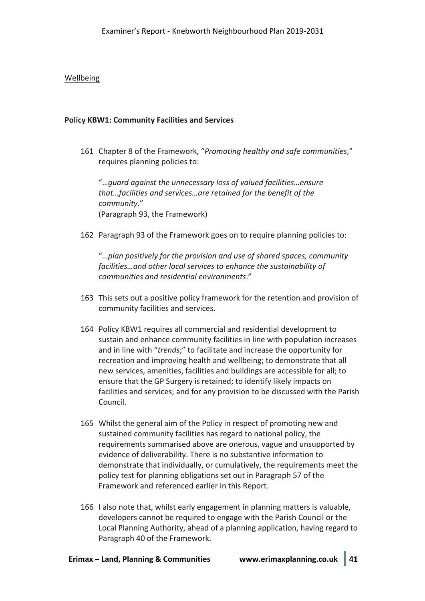## Wellbeing

## **Policy KBW1: Community Facilities and Services**

161 Chapter 8 of the Framework, "*Promoting healthy and safe communities*," requires planning policies to:

"…*guard against the unnecessary loss of valued facilities…ensure that…facilities and services…are retained for the benefit of the community*." (Paragraph 93, the Framework)

162 Paragraph 93 of the Framework goes on to require planning policies to:

"…*plan positively for the provision and use of shared spaces, community facilities…and other local services to enhance the sustainability of communities and residential environments*."

- 163 This sets out a positive policy framework for the retention and provision of community facilities and services.
- 164 Policy KBW1 requires all commercial and residential development to sustain and enhance community facilities in line with population increases and in line with "*trends*;" to facilitate and increase the opportunity for recreation and improving health and wellbeing; to demonstrate that all new services, amenities, facilities and buildings are accessible for all; to ensure that the GP Surgery is retained; to identify likely impacts on facilities and services; and for any provision to be discussed with the Parish Council.
- 165 Whilst the general aim of the Policy in respect of promoting new and sustained community facilities has regard to national policy, the requirements summarised above are onerous, vague and unsupported by evidence of deliverability. There is no substantive information to demonstrate that individually, or cumulatively, the requirements meet the policy test for planning obligations set out in Paragraph 57 of the Framework and referenced earlier in this Report.
- 166 I also note that, whilst early engagement in planning matters is valuable, developers cannot be required to engage with the Parish Council or the Local Planning Authority, ahead of a planning application, having regard to Paragraph 40 of the Framework.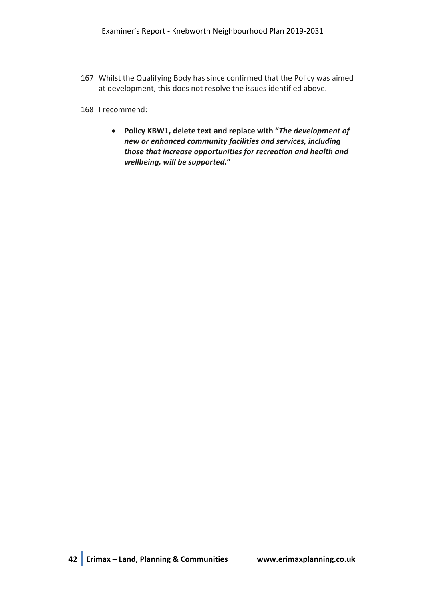- 167 Whilst the Qualifying Body has since confirmed that the Policy was aimed at development, this does not resolve the issues identified above.
- 168 I recommend:
	- **Policy KBW1, delete text and replace with "***The development of new or enhanced community facilities and services, including those that increase opportunities for recreation and health and wellbeing, will be supported.***"**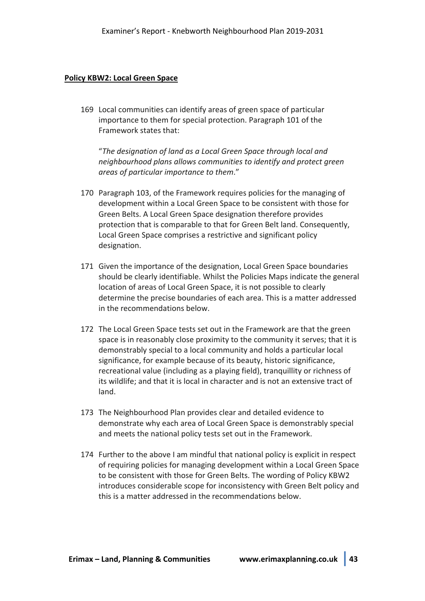#### **Policy KBW2: Local Green Space**

169 Local communities can identify areas of green space of particular importance to them for special protection. Paragraph 101 of the Framework states that:

"*The designation of land as a Local Green Space through local and neighbourhood plans allows communities to identify and protect green areas of particular importance to them*."

- 170 Paragraph 103, of the Framework requires policies for the managing of development within a Local Green Space to be consistent with those for Green Belts. A Local Green Space designation therefore provides protection that is comparable to that for Green Belt land. Consequently, Local Green Space comprises a restrictive and significant policy designation.
- 171 Given the importance of the designation, Local Green Space boundaries should be clearly identifiable. Whilst the Policies Maps indicate the general location of areas of Local Green Space, it is not possible to clearly determine the precise boundaries of each area. This is a matter addressed in the recommendations below.
- 172 The Local Green Space tests set out in the Framework are that the green space is in reasonably close proximity to the community it serves; that it is demonstrably special to a local community and holds a particular local significance, for example because of its beauty, historic significance, recreational value (including as a playing field), tranquillity or richness of its wildlife; and that it is local in character and is not an extensive tract of land.
- 173 The Neighbourhood Plan provides clear and detailed evidence to demonstrate why each area of Local Green Space is demonstrably special and meets the national policy tests set out in the Framework.
- 174 Further to the above I am mindful that national policy is explicit in respect of requiring policies for managing development within a Local Green Space to be consistent with those for Green Belts. The wording of Policy KBW2 introduces considerable scope for inconsistency with Green Belt policy and this is a matter addressed in the recommendations below.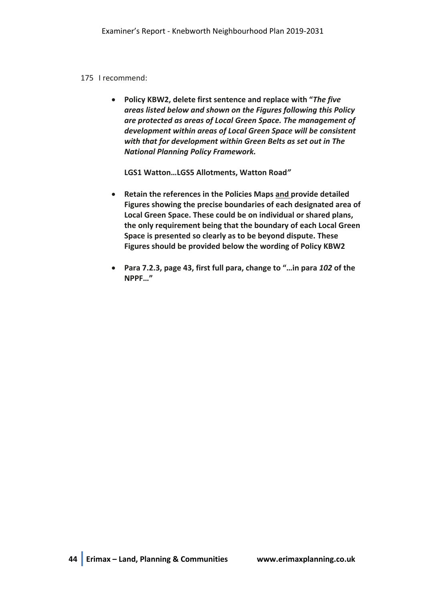#### 175 I recommend:

• **Policy KBW2, delete first sentence and replace with "***The five areas listed below and shown on the Figures following this Policy are protected as areas of Local Green Space. The management of development within areas of Local Green Space will be consistent with that for development within Green Belts as set out in The National Planning Policy Framework.*

**LGS1 Watton…LGS5 Allotments, Watton Road***"* 

- **Retain the references in the Policies Maps and provide detailed Figures showing the precise boundaries of each designated area of Local Green Space. These could be on individual or shared plans, the only requirement being that the boundary of each Local Green Space is presented so clearly as to be beyond dispute. These Figures should be provided below the wording of Policy KBW2**
- **Para 7.2.3, page 43, first full para, change to "…in para** *102* **of the NPPF…"**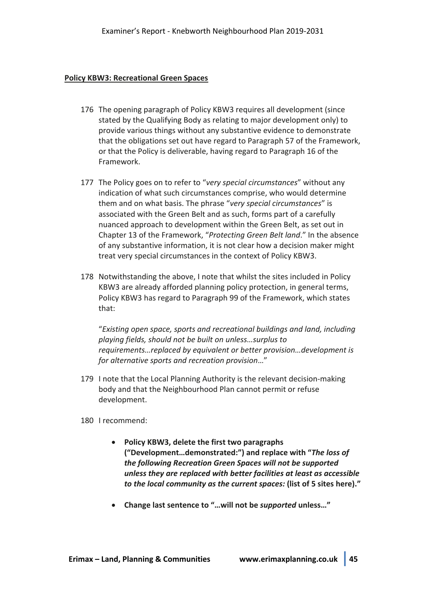#### **Policy KBW3: Recreational Green Spaces**

- 176 The opening paragraph of Policy KBW3 requires all development (since stated by the Qualifying Body as relating to major development only) to provide various things without any substantive evidence to demonstrate that the obligations set out have regard to Paragraph 57 of the Framework, or that the Policy is deliverable, having regard to Paragraph 16 of the Framework.
- 177 The Policy goes on to refer to "*very special circumstances*" without any indication of what such circumstances comprise, who would determine them and on what basis. The phrase "*very special circumstances*" is associated with the Green Belt and as such, forms part of a carefully nuanced approach to development within the Green Belt, as set out in Chapter 13 of the Framework, "*Protecting Green Belt land*." In the absence of any substantive information, it is not clear how a decision maker might treat very special circumstances in the context of Policy KBW3.
- 178 Notwithstanding the above, I note that whilst the sites included in Policy KBW3 are already afforded planning policy protection, in general terms, Policy KBW3 has regard to Paragraph 99 of the Framework, which states that:

"*Existing open space, sports and recreational buildings and land, including playing fields, should not be built on unless…surplus to requirements…replaced by equivalent or better provision…development is for alternative sports and recreation provision*…"

179 I note that the Local Planning Authority is the relevant decision-making body and that the Neighbourhood Plan cannot permit or refuse development.

180 I recommend:

- **Policy KBW3, delete the first two paragraphs ("Development…demonstrated:") and replace with "***The loss of the following Recreation Green Spaces will not be supported unless they are replaced with better facilities at least as accessible to the local community as the current spaces:* **(list of 5 sites here)."**
- **Change last sentence to "…will not be** *supported* **unless…"**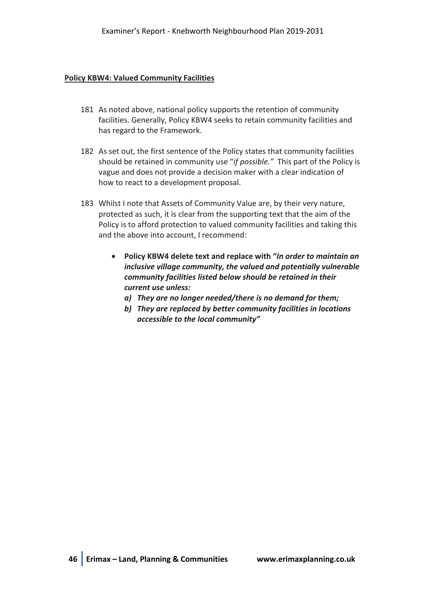## **Policy KBW4: Valued Community Facilities**

- 181 As noted above, national policy supports the retention of community facilities. Generally, Policy KBW4 seeks to retain community facilities and has regard to the Framework.
- 182 As set out, the first sentence of the Policy states that community facilities should be retained in community use "*if possible."* This part of the Policy is vague and does not provide a decision maker with a clear indication of how to react to a development proposal.
- 183 Whilst I note that Assets of Community Value are, by their very nature, protected as such, it is clear from the supporting text that the aim of the Policy is to afford protection to valued community facilities and taking this and the above into account, I recommend:
	- **Policy KBW4 delete text and replace with "***In order to maintain an inclusive village community, the valued and potentially vulnerable community facilities listed below should be retained in their current use unless:*
		- *a) They are no longer needed/there is no demand for them;*
		- *b) They are replaced by better community facilities in locations accessible to the local community"*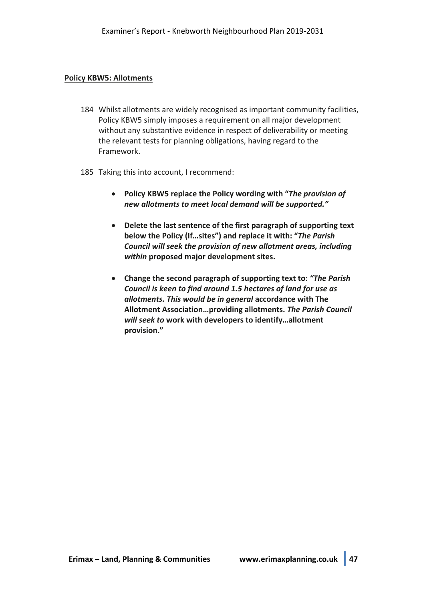#### **Policy KBW5: Allotments**

- 184 Whilst allotments are widely recognised as important community facilities, Policy KBW5 simply imposes a requirement on all major development without any substantive evidence in respect of deliverability or meeting the relevant tests for planning obligations, having regard to the Framework.
- 185 Taking this into account, I recommend:
	- **Policy KBW5 replace the Policy wording with "***The provision of new allotments to meet local demand will be supported."*
	- **Delete the last sentence of the first paragraph of supporting text below the Policy (If…sites") and replace it with: "***The Parish Council will seek the provision of new allotment areas, including within* **proposed major development sites.**
	- **Change the second paragraph of supporting text to:** *"The Parish Council is keen to find around 1.5 hectares of land for use as allotments. This would be in general* **accordance with The Allotment Association…providing allotments.** *The Parish Council will seek to* **work with developers to identify…allotment provision."**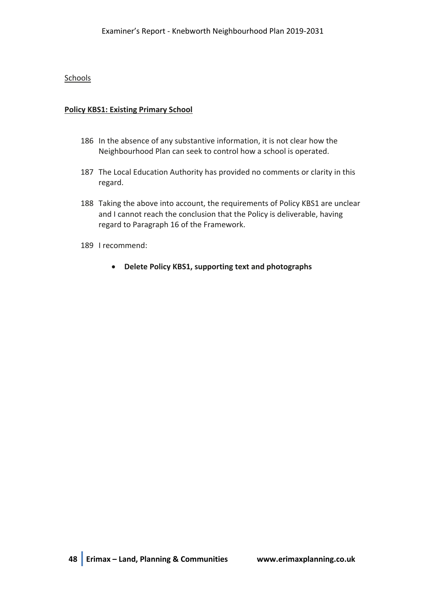## Schools

## **Policy KBS1: Existing Primary School**

- 186 In the absence of any substantive information, it is not clear how the Neighbourhood Plan can seek to control how a school is operated.
- 187 The Local Education Authority has provided no comments or clarity in this regard.
- 188 Taking the above into account, the requirements of Policy KBS1 are unclear and I cannot reach the conclusion that the Policy is deliverable, having regard to Paragraph 16 of the Framework.
- 189 I recommend:
	- **Delete Policy KBS1, supporting text and photographs**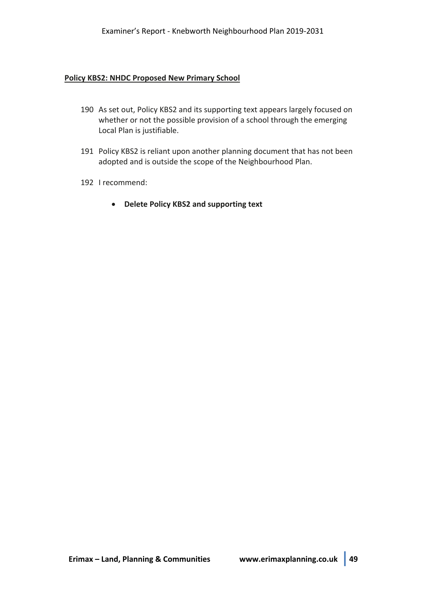## **Policy KBS2: NHDC Proposed New Primary School**

- 190 As set out, Policy KBS2 and its supporting text appears largely focused on whether or not the possible provision of a school through the emerging Local Plan is justifiable.
- 191 Policy KBS2 is reliant upon another planning document that has not been adopted and is outside the scope of the Neighbourhood Plan.
- 192 I recommend:
	- **Delete Policy KBS2 and supporting text**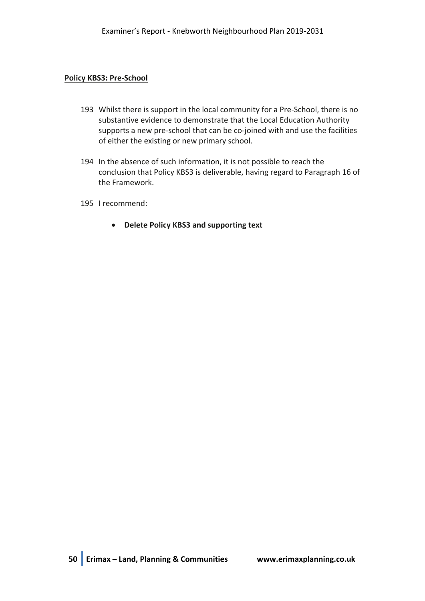## **Policy KBS3: Pre-School**

- 193 Whilst there is support in the local community for a Pre-School, there is no substantive evidence to demonstrate that the Local Education Authority supports a new pre-school that can be co-joined with and use the facilities of either the existing or new primary school.
- 194 In the absence of such information, it is not possible to reach the conclusion that Policy KBS3 is deliverable, having regard to Paragraph 16 of the Framework.
- 195 I recommend:
	- **Delete Policy KBS3 and supporting text**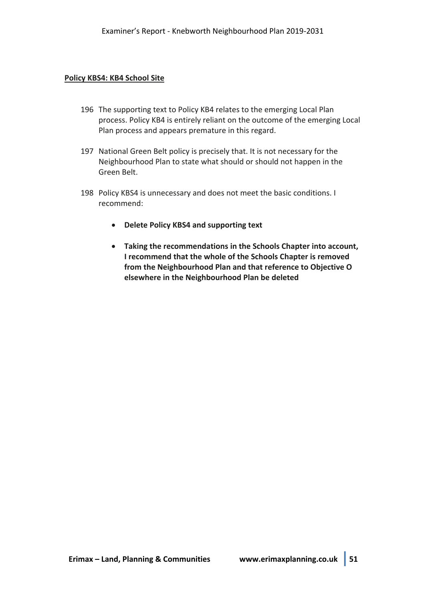#### **Policy KBS4: KB4 School Site**

- 196 The supporting text to Policy KB4 relates to the emerging Local Plan process. Policy KB4 is entirely reliant on the outcome of the emerging Local Plan process and appears premature in this regard.
- 197 National Green Belt policy is precisely that. It is not necessary for the Neighbourhood Plan to state what should or should not happen in the Green Belt.
- 198 Policy KBS4 is unnecessary and does not meet the basic conditions. I recommend:
	- **Delete Policy KBS4 and supporting text**
	- **Taking the recommendations in the Schools Chapter into account, I recommend that the whole of the Schools Chapter is removed from the Neighbourhood Plan and that reference to Objective O elsewhere in the Neighbourhood Plan be deleted**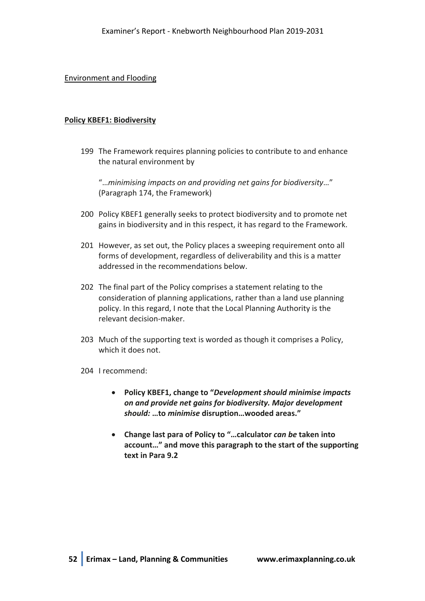## Environment and Flooding

## **Policy KBEF1: Biodiversity**

199 The Framework requires planning policies to contribute to and enhance the natural environment by

"…*minimising impacts on and providing net gains for biodiversity*…" (Paragraph 174, the Framework)

- 200 Policy KBEF1 generally seeks to protect biodiversity and to promote net gains in biodiversity and in this respect, it has regard to the Framework.
- 201 However, as set out, the Policy places a sweeping requirement onto all forms of development, regardless of deliverability and this is a matter addressed in the recommendations below.
- 202 The final part of the Policy comprises a statement relating to the consideration of planning applications, rather than a land use planning policy. In this regard, I note that the Local Planning Authority is the relevant decision-maker.
- 203 Much of the supporting text is worded as though it comprises a Policy, which it does not.
- 204 I recommend:
	- **Policy KBEF1, change to "***Development should minimise impacts on and provide net gains for biodiversity. Major development should:* **…to** *minimise* **disruption…wooded areas."**
	- **Change last para of Policy to "…calculator** *can be* **taken into account…" and move this paragraph to the start of the supporting text in Para 9.2**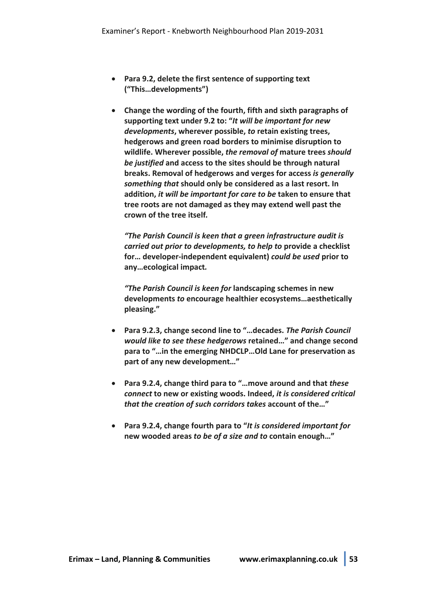- **Para 9.2, delete the first sentence of supporting text ("This…developments")**
- **Change the wording of the fourth, fifth and sixth paragraphs of supporting text under 9.2 to: "***It will be important for new developments***, wherever possible,** *to* **retain existing trees, hedgerows and green road borders to minimise disruption to wildlife. Wherever possible,** *the removal of* **mature trees** *should be justified* **and access to the sites should be through natural breaks. Removal of hedgerows and verges for access** *is generally something that* **should only be considered as a last resort. In addition,** *it will be important for care to be* **taken to ensure that tree roots are not damaged as they may extend well past the crown of the tree itself***.*

*"The Parish Council is keen that a green infrastructure audit is carried out prior to developments, to help to* **provide a checklist for… developer-independent equivalent)** *could be used* **prior to any…ecological impact***.* 

*"The Parish Council is keen for* **landscaping schemes in new developments** *to* **encourage healthier ecosystems…aesthetically pleasing."**

- **Para 9.2.3, change second line to "…decades.** *The Parish Council would like to see these hedgerows* **retained…" and change second para to "…in the emerging NHDCLP…Old Lane for preservation as part of any new development…"**
- **Para 9.2.4, change third para to "…move around and that** *these connect* **to new or existing woods. Indeed,** *it is considered critical that the creation of such corridors takes* **account of the…"**
- **Para 9.2.4, change fourth para to "***It is considered important for*  **new wooded areas** *to be of a size and to* **contain enough…"**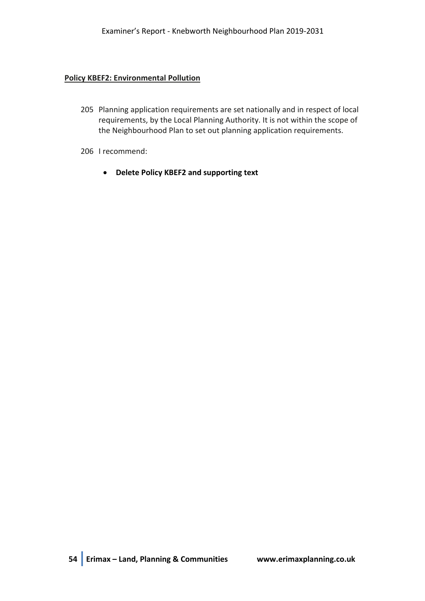## **Policy KBEF2: Environmental Pollution**

- 205 Planning application requirements are set nationally and in respect of local requirements, by the Local Planning Authority. It is not within the scope of the Neighbourhood Plan to set out planning application requirements.
- 206 I recommend:
	- **Delete Policy KBEF2 and supporting text**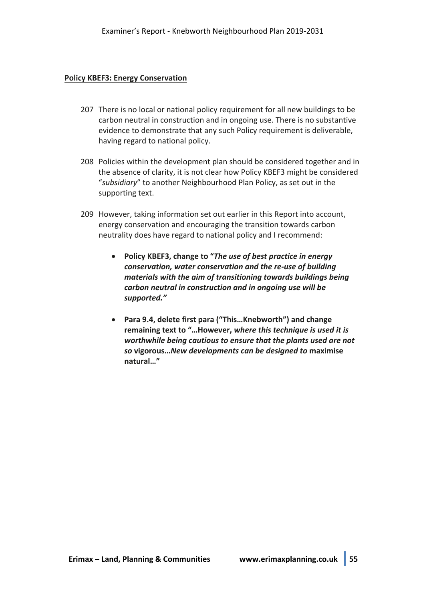#### **Policy KBEF3: Energy Conservation**

- 207 There is no local or national policy requirement for all new buildings to be carbon neutral in construction and in ongoing use. There is no substantive evidence to demonstrate that any such Policy requirement is deliverable, having regard to national policy.
- 208 Policies within the development plan should be considered together and in the absence of clarity, it is not clear how Policy KBEF3 might be considered "*subsidiary*" to another Neighbourhood Plan Policy, as set out in the supporting text.
- 209 However, taking information set out earlier in this Report into account, energy conservation and encouraging the transition towards carbon neutrality does have regard to national policy and I recommend:
	- **Policy KBEF3, change to "***The use of best practice in energy conservation, water conservation and the re-use of building materials with the aim of transitioning towards buildings being carbon neutral in construction and in ongoing use will be supported."*
	- **Para 9.4, delete first para ("This…Knebworth") and change remaining text to "…However,** *where this technique is used it is worthwhile being cautious to ensure that the plants used are not so* **vigorous…***New developments can be designed to* **maximise natural…"**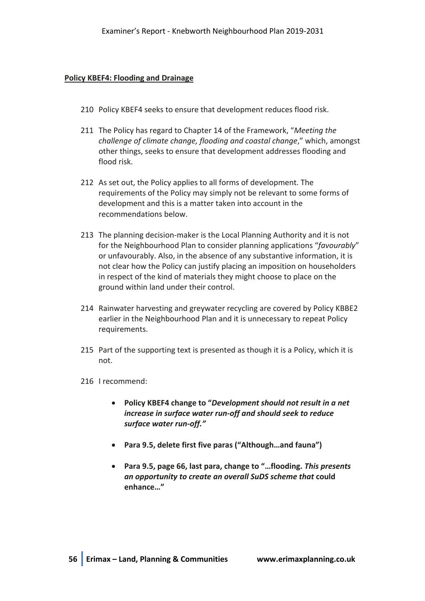## **Policy KBEF4: Flooding and Drainage**

- 210 Policy KBEF4 seeks to ensure that development reduces flood risk.
- 211 The Policy has regard to Chapter 14 of the Framework, "*Meeting the challenge of climate change, flooding and coastal change*," which, amongst other things, seeks to ensure that development addresses flooding and flood risk.
- 212 As set out, the Policy applies to all forms of development. The requirements of the Policy may simply not be relevant to some forms of development and this is a matter taken into account in the recommendations below.
- 213 The planning decision-maker is the Local Planning Authority and it is not for the Neighbourhood Plan to consider planning applications "*favourably*" or unfavourably. Also, in the absence of any substantive information, it is not clear how the Policy can justify placing an imposition on householders in respect of the kind of materials they might choose to place on the ground within land under their control.
- 214 Rainwater harvesting and greywater recycling are covered by Policy KBBE2 earlier in the Neighbourhood Plan and it is unnecessary to repeat Policy requirements.
- 215 Part of the supporting text is presented as though it is a Policy, which it is not.
- 216 I recommend:
	- **Policy KBEF4 change to "***Development should not result in a net increase in surface water run-off and should seek to reduce surface water run-off."*
	- **Para 9.5, delete first five paras ("Although…and fauna")**
	- **Para 9.5, page 66, last para, change to "…flooding.** *This presents an opportunity to create an overall SuDS scheme that* **could enhance…"**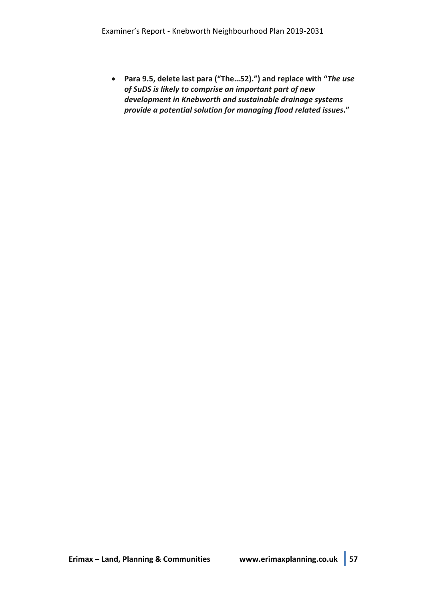• **Para 9.5, delete last para ("The…52).") and replace with "***The use of SuDS is likely to comprise an important part of new development in Knebworth and sustainable drainage systems provide a potential solution for managing flood related issues***."**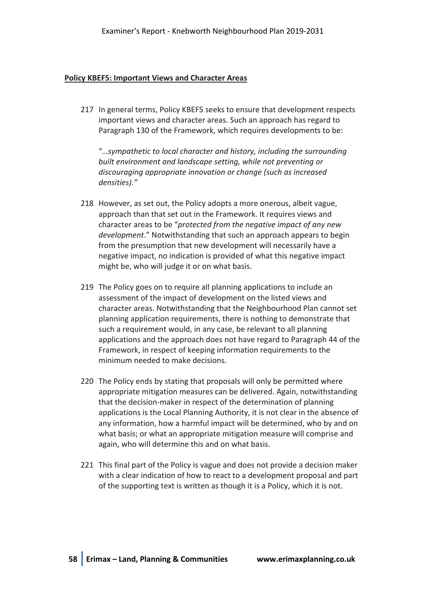#### **Policy KBEF5: Important Views and Character Areas**

217 In general terms, Policy KBEF5 seeks to ensure that development respects important views and character areas. Such an approach has regard to Paragraph 130 of the Framework, which requires developments to be:

"*…sympathetic to local character and history, including the surrounding built environment and landscape setting, while not preventing or discouraging appropriate innovation or change (such as increased densities)."*

- 218 However, as set out, the Policy adopts a more onerous, albeit vague, approach than that set out in the Framework. It requires views and character areas to be "*protected from the negative impact of any new development*." Notwithstanding that such an approach appears to begin from the presumption that new development will necessarily have a negative impact, no indication is provided of what this negative impact might be, who will judge it or on what basis.
- 219 The Policy goes on to require all planning applications to include an assessment of the impact of development on the listed views and character areas. Notwithstanding that the Neighbourhood Plan cannot set planning application requirements, there is nothing to demonstrate that such a requirement would, in any case, be relevant to all planning applications and the approach does not have regard to Paragraph 44 of the Framework, in respect of keeping information requirements to the minimum needed to make decisions.
- 220 The Policy ends by stating that proposals will only be permitted where appropriate mitigation measures can be delivered. Again, notwithstanding that the decision-maker in respect of the determination of planning applications is the Local Planning Authority, it is not clear in the absence of any information, how a harmful impact will be determined, who by and on what basis; or what an appropriate mitigation measure will comprise and again, who will determine this and on what basis.
- 221 This final part of the Policy is vague and does not provide a decision maker with a clear indication of how to react to a development proposal and part of the supporting text is written as though it is a Policy, which it is not.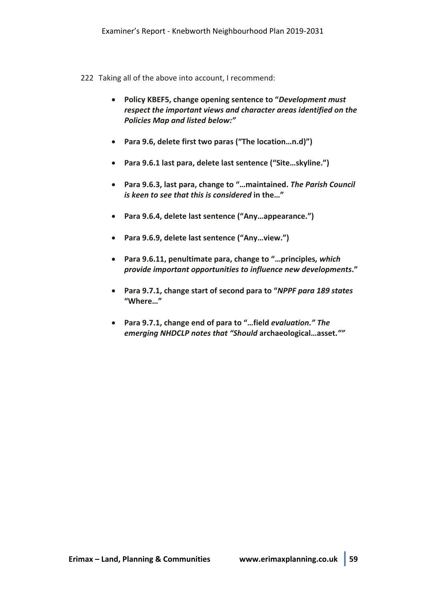- 222 Taking all of the above into account, I recommend:
	- **Policy KBEF5, change opening sentence to "***Development must respect the important views and character areas identified on the Policies Map and listed below:"*
	- **Para 9.6, delete first two paras ("The location…n.d)")**
	- **Para 9.6.1 last para, delete last sentence ("Site…skyline.")**
	- **Para 9.6.3, last para, change to "…maintained.** *The Parish Council is keen to see that this is considered* **in the…"**
	- **Para 9.6.4, delete last sentence ("Any…appearance.")**
	- **Para 9.6.9, delete last sentence ("Any…view.")**
	- **Para 9.6.11, penultimate para, change to "…principles***, which provide important opportunities to influence new developments***."**
	- **Para 9.7.1, change start of second para to "***NPPF para 189 states* **"Where…"**
	- **Para 9.7.1, change end of para to "…field** *evaluation." The emerging NHDCLP notes that "Should* **archaeological…asset.***""*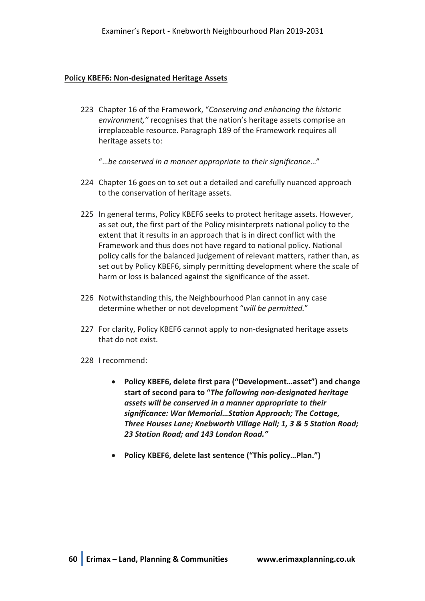## **Policy KBEF6: Non-designated Heritage Assets**

- 223 Chapter 16 of the Framework, "*Conserving and enhancing the historic environment,"* recognises that the nation's heritage assets comprise an irreplaceable resource. Paragraph 189 of the Framework requires all heritage assets to:
	- "…*be conserved in a manner appropriate to their significance*…"
- 224 Chapter 16 goes on to set out a detailed and carefully nuanced approach to the conservation of heritage assets.
- 225 In general terms, Policy KBEF6 seeks to protect heritage assets. However, as set out, the first part of the Policy misinterprets national policy to the extent that it results in an approach that is in direct conflict with the Framework and thus does not have regard to national policy. National policy calls for the balanced judgement of relevant matters, rather than, as set out by Policy KBEF6, simply permitting development where the scale of harm or loss is balanced against the significance of the asset.
- 226 Notwithstanding this, the Neighbourhood Plan cannot in any case determine whether or not development "*will be permitted.*"
- 227 For clarity, Policy KBEF6 cannot apply to non-designated heritage assets that do not exist.
- 228 I recommend:
	- **Policy KBEF6, delete first para ("Development…asset") and change start of second para to "***The following non-designated heritage assets will be conserved in a manner appropriate to their significance: War Memorial…Station Approach; The Cottage, Three Houses Lane; Knebworth Village Hall; 1, 3 & 5 Station Road; 23 Station Road; and 143 London Road."*
	- **Policy KBEF6, delete last sentence ("This policy…Plan.")**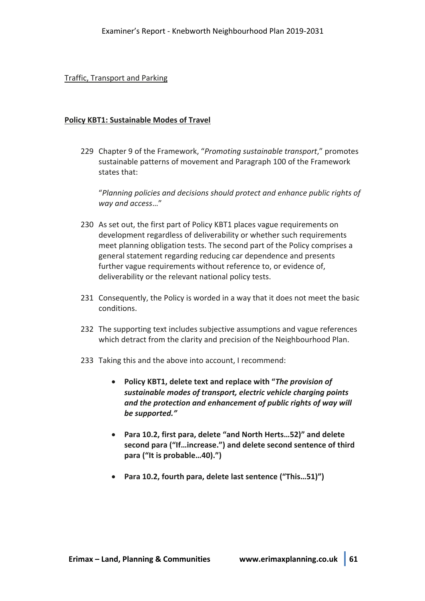Traffic, Transport and Parking

## **Policy KBT1: Sustainable Modes of Travel**

229 Chapter 9 of the Framework, "*Promoting sustainable transport*," promotes sustainable patterns of movement and Paragraph 100 of the Framework states that:

"*Planning policies and decisions should protect and enhance public rights of way and access*…"

- 230 As set out, the first part of Policy KBT1 places vague requirements on development regardless of deliverability or whether such requirements meet planning obligation tests. The second part of the Policy comprises a general statement regarding reducing car dependence and presents further vague requirements without reference to, or evidence of, deliverability or the relevant national policy tests.
- 231 Consequently, the Policy is worded in a way that it does not meet the basic conditions.
- 232 The supporting text includes subjective assumptions and vague references which detract from the clarity and precision of the Neighbourhood Plan.
- 233 Taking this and the above into account, I recommend:
	- **Policy KBT1, delete text and replace with "***The provision of sustainable modes of transport, electric vehicle charging points and the protection and enhancement of public rights of way will be supported."*
	- **Para 10.2, first para, delete "and North Herts…52)" and delete second para ("If…increase.") and delete second sentence of third para ("It is probable…40).")**
	- **Para 10.2, fourth para, delete last sentence ("This…51)")**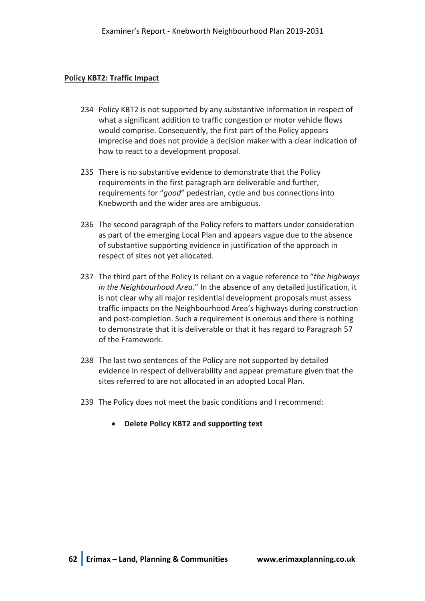## **Policy KBT2: Traffic Impact**

- 234 Policy KBT2 is not supported by any substantive information in respect of what a significant addition to traffic congestion or motor vehicle flows would comprise. Consequently, the first part of the Policy appears imprecise and does not provide a decision maker with a clear indication of how to react to a development proposal.
- 235 There is no substantive evidence to demonstrate that the Policy requirements in the first paragraph are deliverable and further, requirements for "*good*" pedestrian, cycle and bus connections into Knebworth and the wider area are ambiguous.
- 236 The second paragraph of the Policy refers to matters under consideration as part of the emerging Local Plan and appears vague due to the absence of substantive supporting evidence in justification of the approach in respect of sites not yet allocated.
- 237 The third part of the Policy is reliant on a vague reference to "*the highways in the Neighbourhood Area*." In the absence of any detailed justification, it is not clear why all major residential development proposals must assess traffic impacts on the Neighbourhood Area's highways during construction and post-completion. Such a requirement is onerous and there is nothing to demonstrate that it is deliverable or that it has regard to Paragraph 57 of the Framework.
- 238 The last two sentences of the Policy are not supported by detailed evidence in respect of deliverability and appear premature given that the sites referred to are not allocated in an adopted Local Plan.
- 239 The Policy does not meet the basic conditions and I recommend:
	- **Delete Policy KBT2 and supporting text**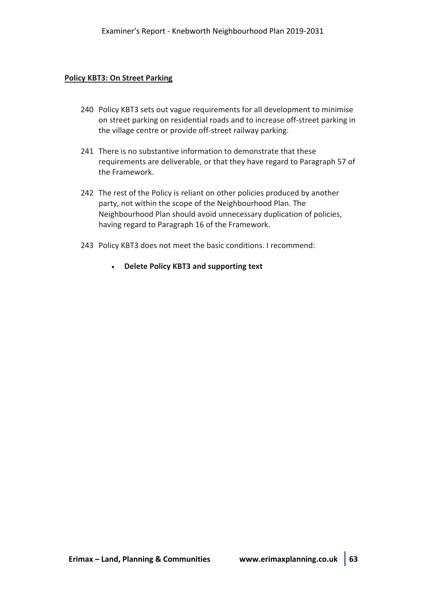## **Policy KBT3: On Street Parking**

- 240 Policy KBT3 sets out vague requirements for all development to minimise on street parking on residential roads and to increase off-street parking in the village centre or provide off-street railway parking.
- 241 There is no substantive information to demonstrate that these requirements are deliverable, or that they have regard to Paragraph 57 of the Framework.
- 242 The rest of the Policy is reliant on other policies produced by another party, not within the scope of the Neighbourhood Plan. The Neighbourhood Plan should avoid unnecessary duplication of policies, having regard to Paragraph 16 of the Framework.
- 243 Policy KBT3 does not meet the basic conditions. I recommend:
	- **Delete Policy KBT3 and supporting text**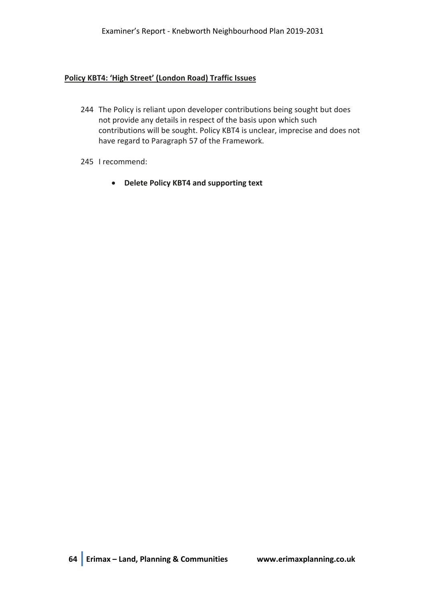## **Policy KBT4: 'High Street' (London Road) Traffic Issues**

- 244 The Policy is reliant upon developer contributions being sought but does not provide any details in respect of the basis upon which such contributions will be sought. Policy KBT4 is unclear, imprecise and does not have regard to Paragraph 57 of the Framework.
- 245 I recommend:
	- **Delete Policy KBT4 and supporting text**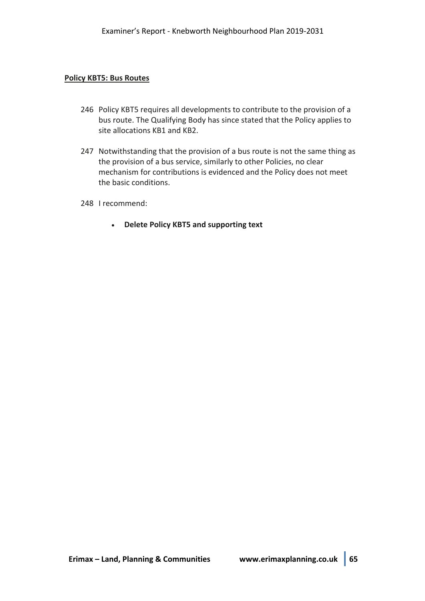## **Policy KBT5: Bus Routes**

- 246 Policy KBT5 requires all developments to contribute to the provision of a bus route. The Qualifying Body has since stated that the Policy applies to site allocations KB1 and KB2.
- 247 Notwithstanding that the provision of a bus route is not the same thing as the provision of a bus service, similarly to other Policies, no clear mechanism for contributions is evidenced and the Policy does not meet the basic conditions.

248 I recommend:

• **Delete Policy KBT5 and supporting text**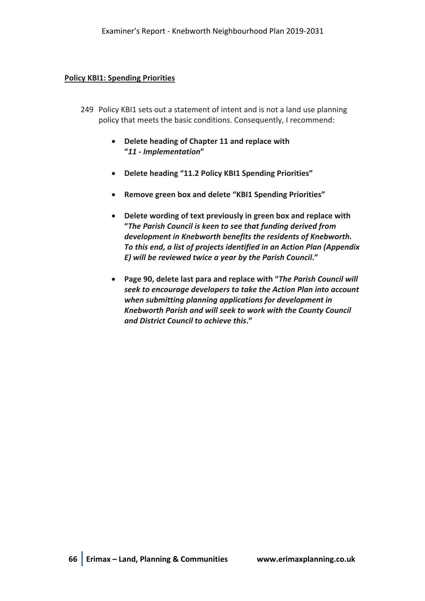## **Policy KBI1: Spending Priorities**

- 249 Policy KBI1 sets out a statement of intent and is not a land use planning policy that meets the basic conditions. Consequently, I recommend:
	- **Delete heading of Chapter 11 and replace with "***11 - Implementation***"**
	- **Delete heading "11.2 Policy KBI1 Spending Priorities"**
	- **Remove green box and delete "KBI1 Spending Priorities"**
	- **Delete wording of text previously in green box and replace with "***The Parish Council is keen to see that funding derived from development in Knebworth benefits the residents of Knebworth. To this end, a list of projects identified in an Action Plan (Appendix E) will be reviewed twice a year by the Parish Council***."**
	- **Page 90, delete last para and replace with "***The Parish Council will seek to encourage developers to take the Action Plan into account when submitting planning applications for development in Knebworth Parish and will seek to work with the County Council and District Council to achieve this***."**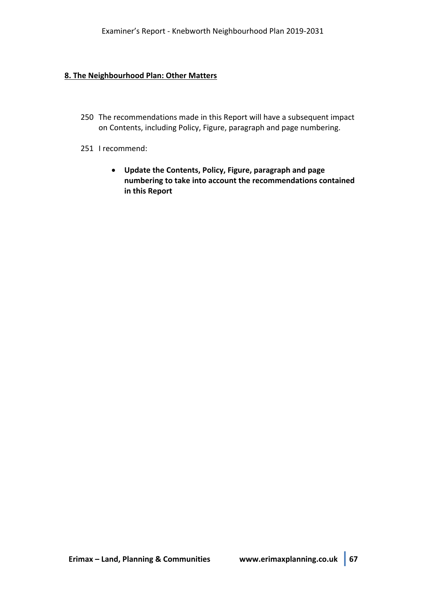## **8. The Neighbourhood Plan: Other Matters**

- 250 The recommendations made in this Report will have a subsequent impact on Contents, including Policy, Figure, paragraph and page numbering.
- 251 I recommend:
	- **Update the Contents, Policy, Figure, paragraph and page numbering to take into account the recommendations contained in this Report**